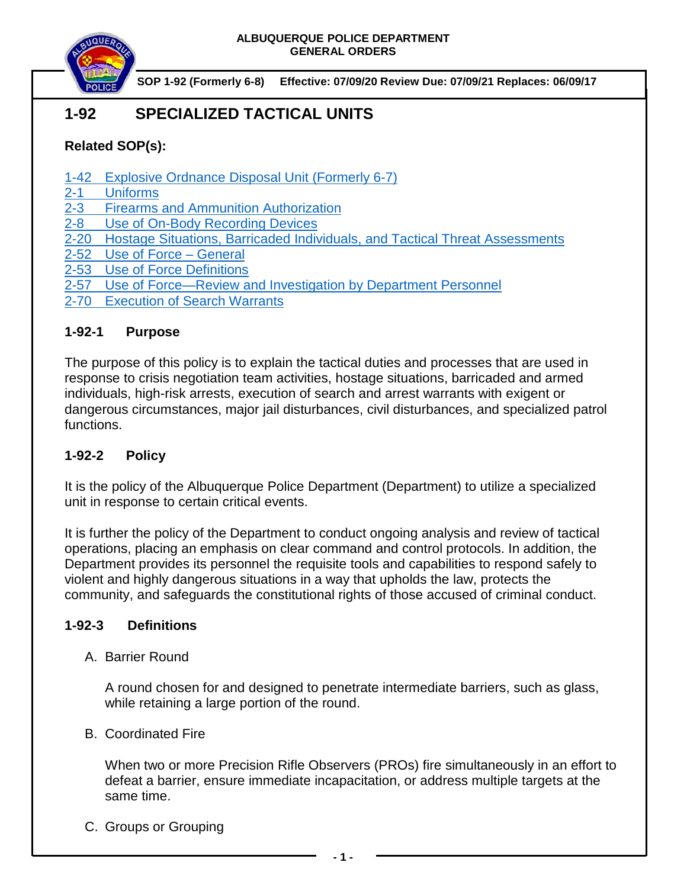

 **SOP 1-92 (Formerly 6-8) Effective: 07/09/20 Review Due: 07/09/21 Replaces: 06/09/17**

# **1-92 SPECIALIZED TACTICAL UNITS**

# **Related SOP(s):**

- [1-42 Explosive Ordnance Disposal Unit \(Formerly 6-7\)](https://powerdms.com/link/COA/document/?id=1850144)
- 2-1 [Uniforms](https://powerdms.com/link/COA/document/?id=84)<br>2-3 Firearms
- **Firearms and Ammunition Authorization**
- [2-8 Use of On-Body Recording Devices](https://powerdms.com/link/COA/document/?id=1137)
- 2-20 Hostage [Situations, Barricaded Individuals, and Tactical Threat Assessments](https://powerdms.com/link/COA/document/?id=125)
- [2-52 Use of Force](https://powerdms.com/link/COA/document/?id=1897088) General
- 2-53 [Use of Force Definitions](https://powerdms.com/link/COA/document/?id=1897089)
- 2-57 [Use of Force—Review and Investigation by Department Personnel](https://powerdms.com/link/COA/document/?id=1700599)
- [2-70 Execution of Search Warrants](https://powerdms.com/link/COA/document/?id=99)

## **1-92-1 Purpose**

The purpose of this policy is to explain the tactical duties and processes that are used in response to crisis negotiation team activities, hostage situations, barricaded and armed individuals, high-risk arrests, execution of search and arrest warrants with exigent or dangerous circumstances, major jail disturbances, civil disturbances, and specialized patrol functions.

## **1-92-2 Policy**

It is the policy of the Albuquerque Police Department (Department) to utilize a specialized unit in response to certain critical events.

It is further the policy of the Department to conduct ongoing analysis and review of tactical operations, placing an emphasis on clear command and control protocols. In addition, the Department provides its personnel the requisite tools and capabilities to respond safely to violent and highly dangerous situations in a way that upholds the law, protects the community, and safeguards the constitutional rights of those accused of criminal conduct.

## **1-92-3 Definitions**

A. Barrier Round

A round chosen for and designed to penetrate intermediate barriers, such as glass, while retaining a large portion of the round.

B. Coordinated Fire

When two or more Precision Rifle Observers (PROs) fire simultaneously in an effort to defeat a barrier, ensure immediate incapacitation, or address multiple targets at the same time.

C. Groups or Grouping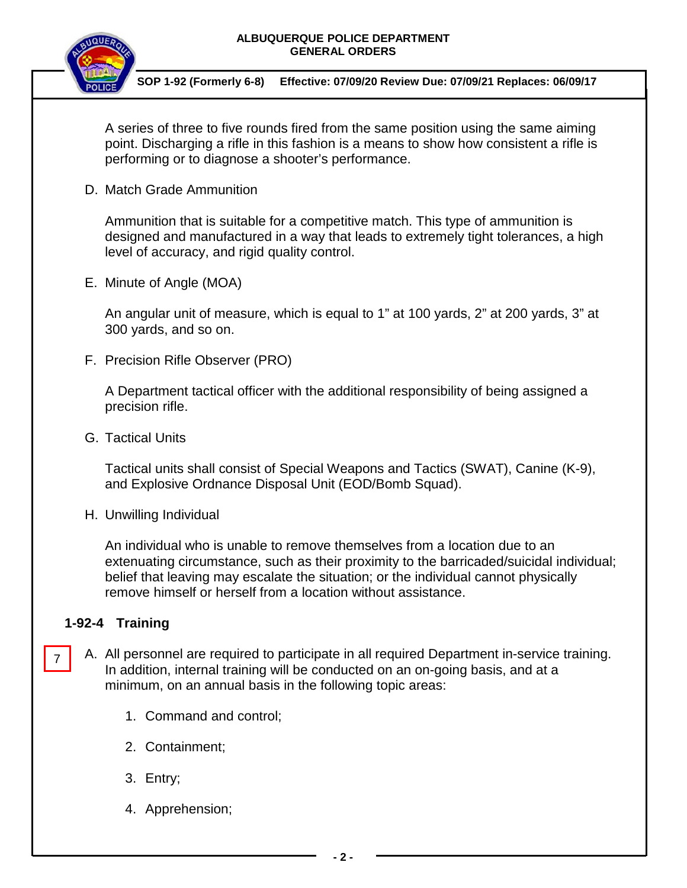

 **SOP 1-92 (Formerly 6-8) Effective: 07/09/20 Review Due: 07/09/21 Replaces: 06/09/17**

A series of three to five rounds fired from the same position using the same aiming point. Discharging a rifle in this fashion is a means to show how consistent a rifle is performing or to diagnose a shooter's performance.

D. Match Grade Ammunition

Ammunition that is suitable for a competitive match. This type of ammunition is designed and manufactured in a way that leads to extremely tight tolerances, a high level of accuracy, and rigid quality control.

E. Minute of Angle (MOA)

An angular unit of measure, which is equal to 1" at 100 yards, 2" at 200 yards, 3" at 300 yards, and so on.

F. Precision Rifle Observer (PRO)

A Department tactical officer with the additional responsibility of being assigned a precision rifle.

G. Tactical Units

Tactical units shall consist of Special Weapons and Tactics (SWAT), Canine (K-9), and Explosive Ordnance Disposal Unit (EOD/Bomb Squad).

H. Unwilling Individual

An individual who is unable to remove themselves from a location due to an extenuating circumstance, such as their proximity to the barricaded/suicidal individual; belief that leaving may escalate the situation; or the individual cannot physically remove himself or herself from a location without assistance.

# **1-92-4 Training**

- A. All personnel are required to participate in all required Department in-service training. In addition, internal training will be conducted on an on-going basis, and at a minimum, on an annual basis in the following topic areas: 7
	- 1. Command and control;
	- 2. Containment;
	- 3. Entry;
	- 4. Apprehension;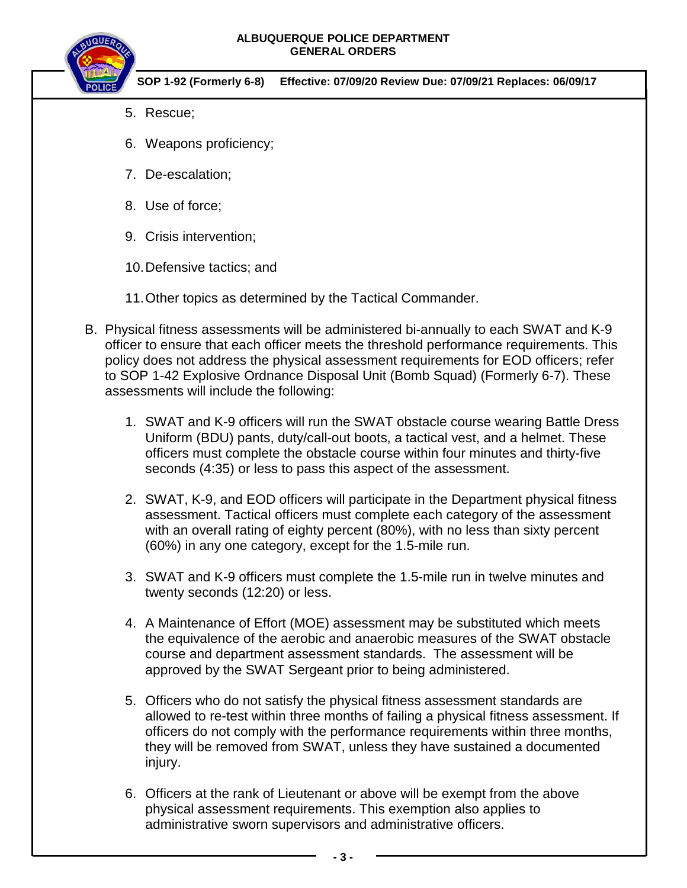

- 5. Rescue;
- 6. Weapons proficiency;
- 7. De-escalation;
- 8. Use of force;
- 9. Crisis intervention;
- 10.Defensive tactics; and
- 11.Other topics as determined by the Tactical Commander.
- B. Physical fitness assessments will be administered bi-annually to each SWAT and K-9 officer to ensure that each officer meets the threshold performance requirements. This policy does not address the physical assessment requirements for EOD officers; refer to SOP 1-42 Explosive Ordnance Disposal Unit (Bomb Squad) (Formerly 6-7). These assessments will include the following:
	- 1. SWAT and K-9 officers will run the SWAT obstacle course wearing Battle Dress Uniform (BDU) pants, duty/call-out boots, a tactical vest, and a helmet. These officers must complete the obstacle course within four minutes and thirty-five seconds (4:35) or less to pass this aspect of the assessment.
	- 2. SWAT, K-9, and EOD officers will participate in the Department physical fitness assessment. Tactical officers must complete each category of the assessment with an overall rating of eighty percent (80%), with no less than sixty percent (60%) in any one category, except for the 1.5-mile run.
	- 3. SWAT and K-9 officers must complete the 1.5-mile run in twelve minutes and twenty seconds (12:20) or less.
	- 4. A Maintenance of Effort (MOE) assessment may be substituted which meets the equivalence of the aerobic and anaerobic measures of the SWAT obstacle course and department assessment standards. The assessment will be approved by the SWAT Sergeant prior to being administered.
	- 5. Officers who do not satisfy the physical fitness assessment standards are allowed to re-test within three months of failing a physical fitness assessment. If officers do not comply with the performance requirements within three months, they will be removed from SWAT, unless they have sustained a documented injury.
	- 6. Officers at the rank of Lieutenant or above will be exempt from the above physical assessment requirements. This exemption also applies to administrative sworn supervisors and administrative officers.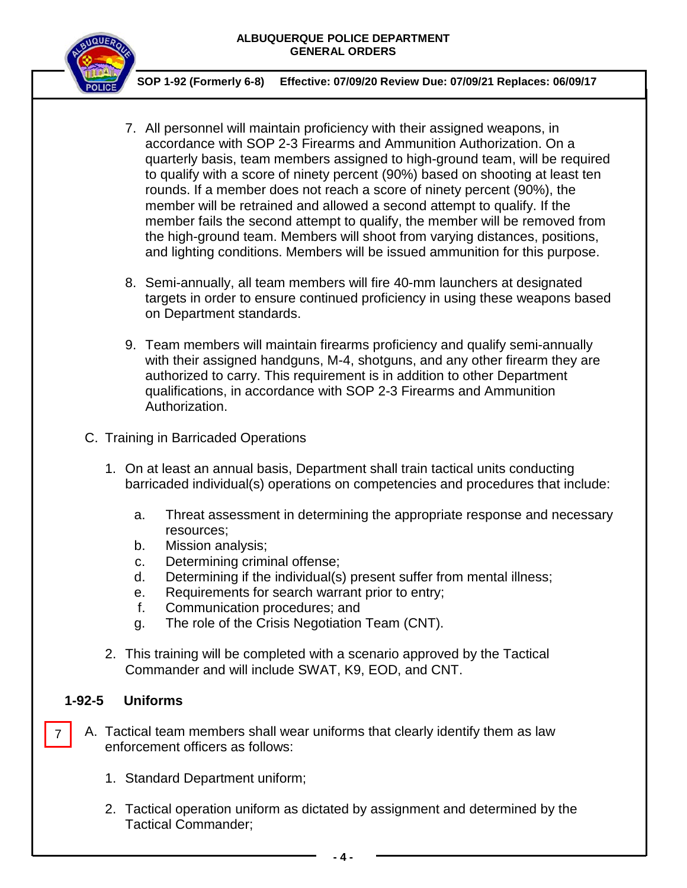

 **SOP 1-92 (Formerly 6-8) Effective: 07/09/20 Review Due: 07/09/21 Replaces: 06/09/17**

- 7. All personnel will maintain proficiency with their assigned weapons, in accordance with SOP 2-3 Firearms and Ammunition Authorization. On a quarterly basis, team members assigned to high-ground team, will be required to qualify with a score of ninety percent (90%) based on shooting at least ten rounds. If a member does not reach a score of ninety percent (90%), the member will be retrained and allowed a second attempt to qualify. If the member fails the second attempt to qualify, the member will be removed from the high-ground team. Members will shoot from varying distances, positions, and lighting conditions. Members will be issued ammunition for this purpose.
- 8. Semi-annually, all team members will fire 40-mm launchers at designated targets in order to ensure continued proficiency in using these weapons based on Department standards.
- 9. Team members will maintain firearms proficiency and qualify semi-annually with their assigned handguns, M-4, shotguns, and any other firearm they are authorized to carry. This requirement is in addition to other Department qualifications, in accordance with SOP 2-3 Firearms and Ammunition Authorization.
- C. Training in Barricaded Operations
	- 1. On at least an annual basis, Department shall train tactical units conducting barricaded individual(s) operations on competencies and procedures that include:
		- a. Threat assessment in determining the appropriate response and necessary resources;
		- b. Mission analysis;
		- c. Determining criminal offense;
		- d. Determining if the individual(s) present suffer from mental illness;
		- e. Requirements for search warrant prior to entry;
		- f. Communication procedures; and
		- g. The role of the Crisis Negotiation Team (CNT).
	- 2. This training will be completed with a scenario approved by the Tactical Commander and will include SWAT, K9, EOD, and CNT.

## **1-92-5 Uniforms**

7

- A. Tactical team members shall wear uniforms that clearly identify them as law enforcement officers as follows:
	- 1. Standard Department uniform;
	- 2. Tactical operation uniform as dictated by assignment and determined by the Tactical Commander;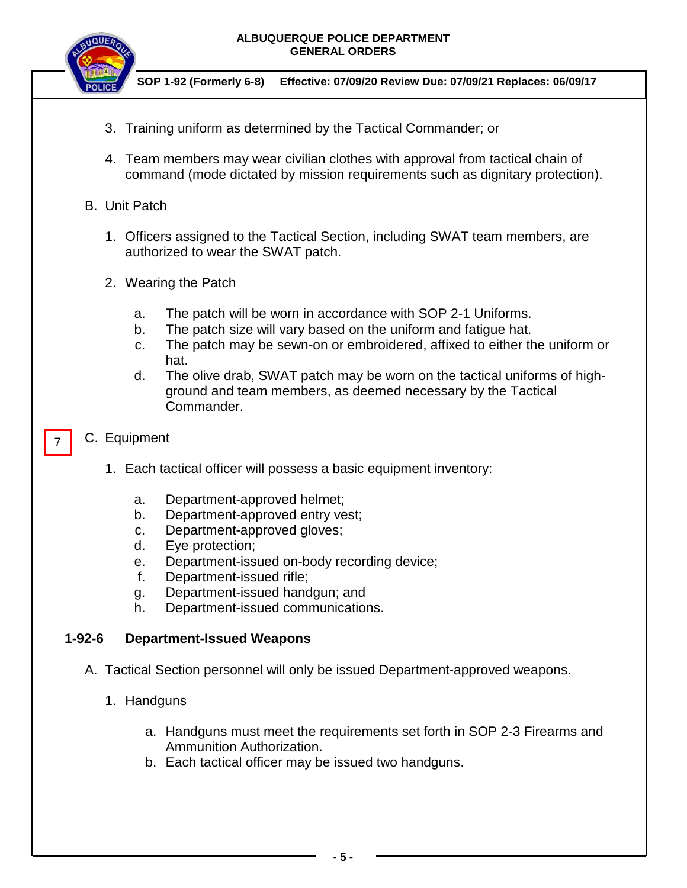

 **SOP 1-92 (Formerly 6-8) Effective: 07/09/20 Review Due: 07/09/21 Replaces: 06/09/17**

- 3. Training uniform as determined by the Tactical Commander; or
- 4. Team members may wear civilian clothes with approval from tactical chain of command (mode dictated by mission requirements such as dignitary protection).
- B. Unit Patch
	- 1. Officers assigned to the Tactical Section, including SWAT team members, are authorized to wear the SWAT patch.
	- 2. Wearing the Patch
		- a. The patch will be worn in accordance with SOP 2-1 Uniforms.
		- b. The patch size will vary based on the uniform and fatigue hat.
		- c. The patch may be sewn-on or embroidered, affixed to either the uniform or hat.
		- d. The olive drab, SWAT patch may be worn on the tactical uniforms of highground and team members, as deemed necessary by the Tactical Commander.
- C. Equipment

7

- 1. Each tactical officer will possess a basic equipment inventory:
	- a. Department-approved helmet;
	- b. Department-approved entry vest;
	- c. Department-approved gloves;
	- d. Eye protection;
	- e. Department-issued on-body recording device;
	- f. Department-issued rifle;
	- g. Department-issued handgun; and
	- h. Department-issued communications.

# **1-92-6 Department-Issued Weapons**

- A. Tactical Section personnel will only be issued Department-approved weapons.
	- 1. Handguns
		- a. Handguns must meet the requirements set forth in SOP 2-3 Firearms and Ammunition Authorization.
		- b. Each tactical officer may be issued two handguns.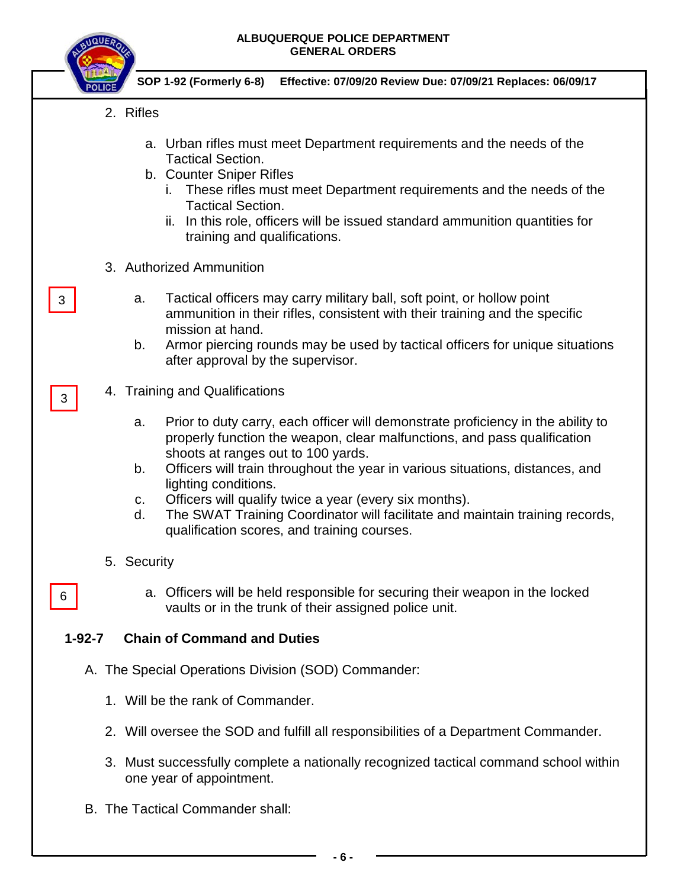**IBUQUERQUE** 

|              | SOP 1-92 (Formerly 6-8)<br>Effective: 07/09/20 Review Due: 07/09/21 Replaces: 06/09/17                                                                                                                                                                                                                                                                                                                                                                                                                                       |
|--------------|------------------------------------------------------------------------------------------------------------------------------------------------------------------------------------------------------------------------------------------------------------------------------------------------------------------------------------------------------------------------------------------------------------------------------------------------------------------------------------------------------------------------------|
| 2. Rifles    |                                                                                                                                                                                                                                                                                                                                                                                                                                                                                                                              |
|              | a. Urban rifles must meet Department requirements and the needs of the<br><b>Tactical Section.</b><br>b. Counter Sniper Rifles<br>These rifles must meet Department requirements and the needs of the<br>Ι.<br><b>Tactical Section.</b><br>In this role, officers will be issued standard ammunition quantities for<br>ii.<br>training and qualifications.                                                                                                                                                                   |
|              | 3. Authorized Ammunition                                                                                                                                                                                                                                                                                                                                                                                                                                                                                                     |
| 3            | Tactical officers may carry military ball, soft point, or hollow point<br>a.<br>ammunition in their rifles, consistent with their training and the specific<br>mission at hand.<br>b.<br>Armor piercing rounds may be used by tactical officers for unique situations<br>after approval by the supervisor.                                                                                                                                                                                                                   |
| 3            | 4. Training and Qualifications                                                                                                                                                                                                                                                                                                                                                                                                                                                                                               |
|              | Prior to duty carry, each officer will demonstrate proficiency in the ability to<br>a.<br>properly function the weapon, clear malfunctions, and pass qualification<br>shoots at ranges out to 100 yards.<br>Officers will train throughout the year in various situations, distances, and<br>b.<br>lighting conditions.<br>Officers will qualify twice a year (every six months).<br>C.<br>The SWAT Training Coordinator will facilitate and maintain training records,<br>d.<br>qualification scores, and training courses. |
|              | 5. Security                                                                                                                                                                                                                                                                                                                                                                                                                                                                                                                  |
| 6            | a. Officers will be held responsible for securing their weapon in the locked<br>vaults or in the trunk of their assigned police unit.                                                                                                                                                                                                                                                                                                                                                                                        |
| $1 - 92 - 7$ | <b>Chain of Command and Duties</b>                                                                                                                                                                                                                                                                                                                                                                                                                                                                                           |
|              | A. The Special Operations Division (SOD) Commander:                                                                                                                                                                                                                                                                                                                                                                                                                                                                          |
|              | 1. Will be the rank of Commander.                                                                                                                                                                                                                                                                                                                                                                                                                                                                                            |
|              | 2. Will oversee the SOD and fulfill all responsibilities of a Department Commander.                                                                                                                                                                                                                                                                                                                                                                                                                                          |
|              | 3. Must successfully complete a nationally recognized tactical command school within<br>one year of appointment.                                                                                                                                                                                                                                                                                                                                                                                                             |
|              | B. The Tactical Commander shall:                                                                                                                                                                                                                                                                                                                                                                                                                                                                                             |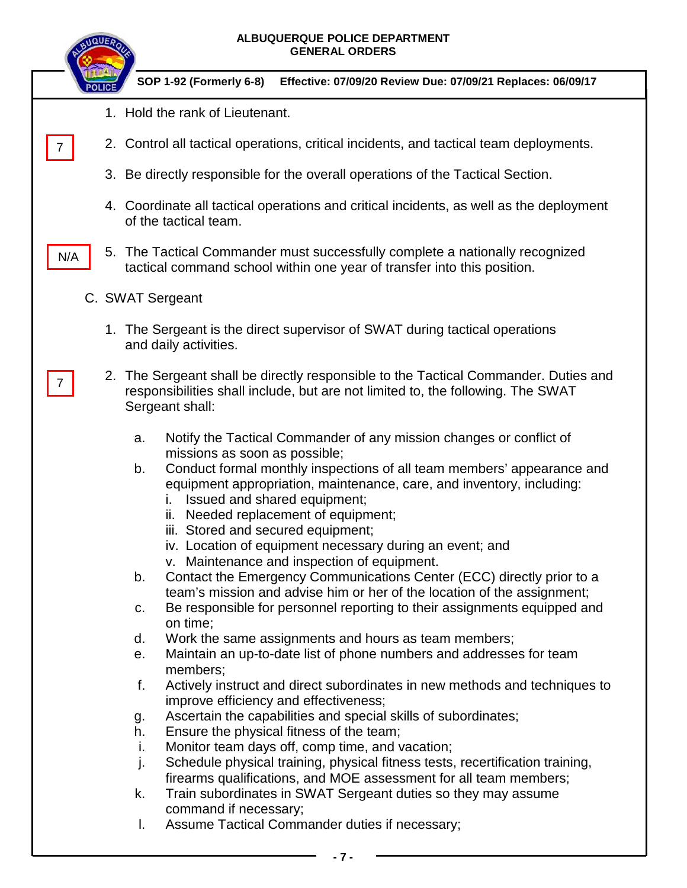| ALBUQUERQUE POLICE DEPARTMENT<br><b>IQUE</b><br><b>GENERAL ORDERS</b>                                                                                                                                                                                                                                                                                                                                                                                                                                                                                                                                                                                                                                                                                                                                                                                                                                                                                                                                                                                                                                                                                                                                                                                                                                                                                                                                                                                                                                                                       |
|---------------------------------------------------------------------------------------------------------------------------------------------------------------------------------------------------------------------------------------------------------------------------------------------------------------------------------------------------------------------------------------------------------------------------------------------------------------------------------------------------------------------------------------------------------------------------------------------------------------------------------------------------------------------------------------------------------------------------------------------------------------------------------------------------------------------------------------------------------------------------------------------------------------------------------------------------------------------------------------------------------------------------------------------------------------------------------------------------------------------------------------------------------------------------------------------------------------------------------------------------------------------------------------------------------------------------------------------------------------------------------------------------------------------------------------------------------------------------------------------------------------------------------------------|
| SOP 1-92 (Formerly 6-8)<br>Effective: 07/09/20 Review Due: 07/09/21 Replaces: 06/09/17                                                                                                                                                                                                                                                                                                                                                                                                                                                                                                                                                                                                                                                                                                                                                                                                                                                                                                                                                                                                                                                                                                                                                                                                                                                                                                                                                                                                                                                      |
| 1. Hold the rank of Lieutenant.                                                                                                                                                                                                                                                                                                                                                                                                                                                                                                                                                                                                                                                                                                                                                                                                                                                                                                                                                                                                                                                                                                                                                                                                                                                                                                                                                                                                                                                                                                             |
| 2. Control all tactical operations, critical incidents, and tactical team deployments.<br>$\mathbf{7}$                                                                                                                                                                                                                                                                                                                                                                                                                                                                                                                                                                                                                                                                                                                                                                                                                                                                                                                                                                                                                                                                                                                                                                                                                                                                                                                                                                                                                                      |
| 3. Be directly responsible for the overall operations of the Tactical Section.                                                                                                                                                                                                                                                                                                                                                                                                                                                                                                                                                                                                                                                                                                                                                                                                                                                                                                                                                                                                                                                                                                                                                                                                                                                                                                                                                                                                                                                              |
| 4. Coordinate all tactical operations and critical incidents, as well as the deployment<br>of the tactical team.                                                                                                                                                                                                                                                                                                                                                                                                                                                                                                                                                                                                                                                                                                                                                                                                                                                                                                                                                                                                                                                                                                                                                                                                                                                                                                                                                                                                                            |
| 5. The Tactical Commander must successfully complete a nationally recognized<br>N/A<br>tactical command school within one year of transfer into this position.                                                                                                                                                                                                                                                                                                                                                                                                                                                                                                                                                                                                                                                                                                                                                                                                                                                                                                                                                                                                                                                                                                                                                                                                                                                                                                                                                                              |
| C. SWAT Sergeant                                                                                                                                                                                                                                                                                                                                                                                                                                                                                                                                                                                                                                                                                                                                                                                                                                                                                                                                                                                                                                                                                                                                                                                                                                                                                                                                                                                                                                                                                                                            |
| 1. The Sergeant is the direct supervisor of SWAT during tactical operations<br>and daily activities.                                                                                                                                                                                                                                                                                                                                                                                                                                                                                                                                                                                                                                                                                                                                                                                                                                                                                                                                                                                                                                                                                                                                                                                                                                                                                                                                                                                                                                        |
| 2. The Sergeant shall be directly responsible to the Tactical Commander. Duties and<br>responsibilities shall include, but are not limited to, the following. The SWAT<br>Sergeant shall:                                                                                                                                                                                                                                                                                                                                                                                                                                                                                                                                                                                                                                                                                                                                                                                                                                                                                                                                                                                                                                                                                                                                                                                                                                                                                                                                                   |
| Notify the Tactical Commander of any mission changes or conflict of<br>a.<br>missions as soon as possible;<br>Conduct formal monthly inspections of all team members' appearance and<br>b.<br>equipment appropriation, maintenance, care, and inventory, including:<br>Issued and shared equipment;<br>Needed replacement of equipment;<br>iii. Stored and secured equipment;<br>iv. Location of equipment necessary during an event; and<br>v. Maintenance and inspection of equipment.<br>Contact the Emergency Communications Center (ECC) directly prior to a<br>b.<br>team's mission and advise him or her of the location of the assignment;<br>Be responsible for personnel reporting to their assignments equipped and<br>c.<br>on time;<br>Work the same assignments and hours as team members;<br>d.<br>Maintain an up-to-date list of phone numbers and addresses for team<br>е.<br>members;<br>f.<br>Actively instruct and direct subordinates in new methods and techniques to<br>improve efficiency and effectiveness;<br>Ascertain the capabilities and special skills of subordinates;<br>g.<br>Ensure the physical fitness of the team;<br>h.<br>Monitor team days off, comp time, and vacation;<br>i.<br>Schedule physical training, physical fitness tests, recertification training,<br>j.<br>firearms qualifications, and MOE assessment for all team members;<br>k.<br>Train subordinates in SWAT Sergeant duties so they may assume<br>command if necessary;<br>Assume Tactical Commander duties if necessary;<br>I. |
| - 7 -                                                                                                                                                                                                                                                                                                                                                                                                                                                                                                                                                                                                                                                                                                                                                                                                                                                                                                                                                                                                                                                                                                                                                                                                                                                                                                                                                                                                                                                                                                                                       |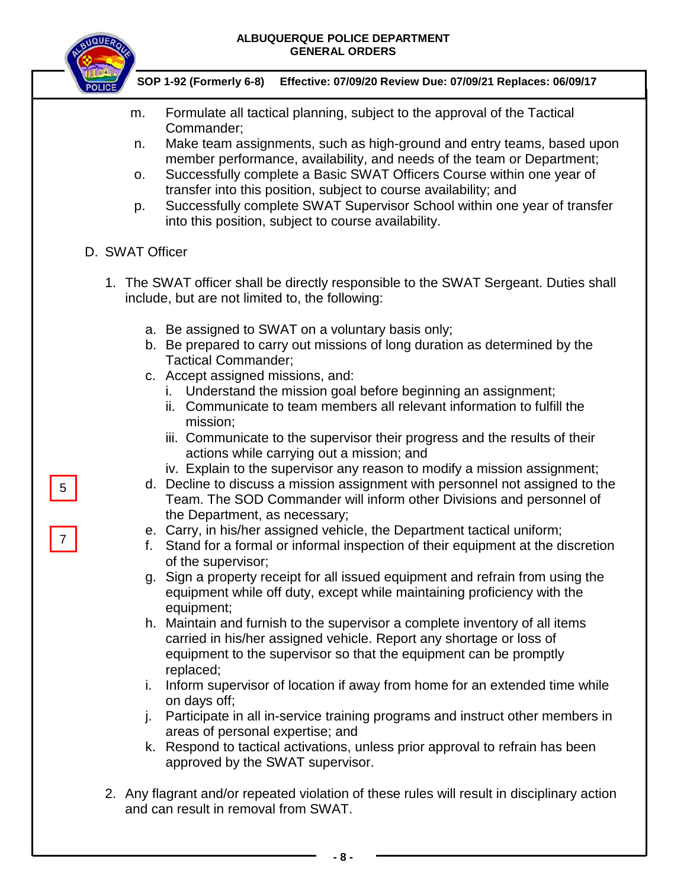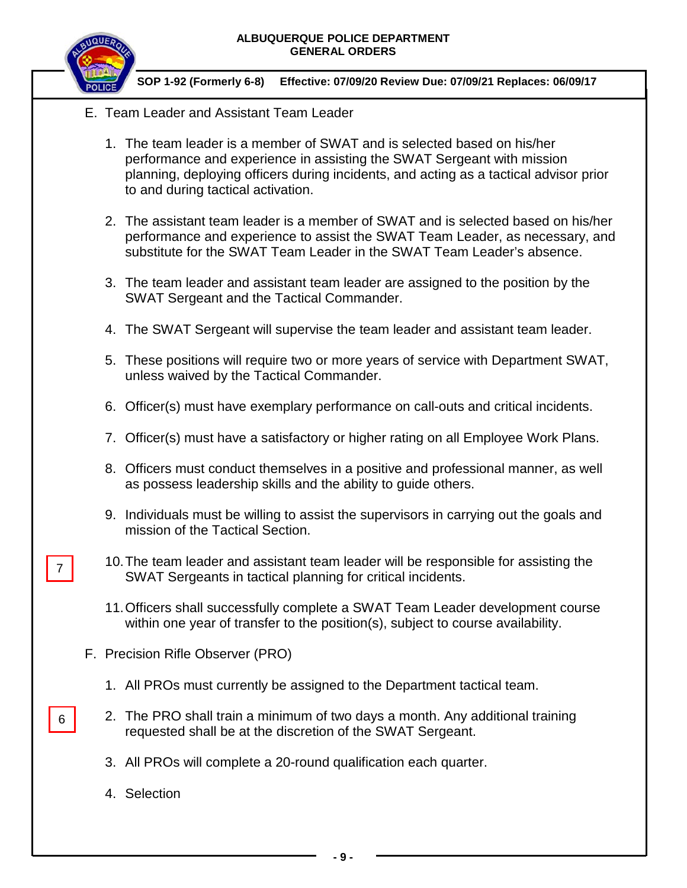

### **SOP 1-92 (Formerly 6-8) Effective: 07/09/20 Review Due: 07/09/21 Replaces: 06/09/17**

- E. Team Leader and Assistant Team Leader
	- 1. The team leader is a member of SWAT and is selected based on his/her performance and experience in assisting the SWAT Sergeant with mission planning, deploying officers during incidents, and acting as a tactical advisor prior to and during tactical activation.
	- 2. The assistant team leader is a member of SWAT and is selected based on his/her performance and experience to assist the SWAT Team Leader, as necessary, and substitute for the SWAT Team Leader in the SWAT Team Leader's absence.
	- 3. The team leader and assistant team leader are assigned to the position by the SWAT Sergeant and the Tactical Commander.
	- 4. The SWAT Sergeant will supervise the team leader and assistant team leader.
	- 5. These positions will require two or more years of service with Department SWAT, unless waived by the Tactical Commander.
	- 6. Officer(s) must have exemplary performance on call-outs and critical incidents.
	- 7. Officer(s) must have a satisfactory or higher rating on all Employee Work Plans.
	- 8. Officers must conduct themselves in a positive and professional manner, as well as possess leadership skills and the ability to guide others.
	- 9. Individuals must be willing to assist the supervisors in carrying out the goals and mission of the Tactical Section.
	- 10.The team leader and assistant team leader will be responsible for assisting the SWAT Sergeants in tactical planning for critical incidents.
	- 11.Officers shall successfully complete a SWAT Team Leader development course within one year of transfer to the position(s), subject to course availability.
- F. Precision Rifle Observer (PRO)
	- 1. All PROs must currently be assigned to the Department tactical team.
	- 2. The PRO shall train a minimum of two days a month. Any additional training requested shall be at the discretion of the SWAT Sergeant.
		- 3. All PROs will complete a 20-round qualification each quarter.
		- 4. Selection

7

6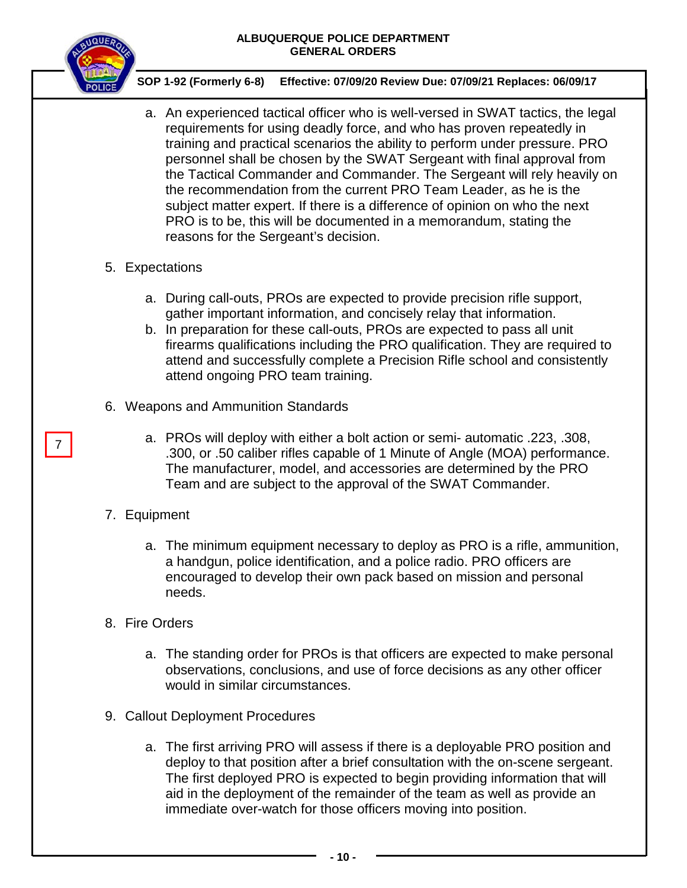

 **SOP 1-92 (Formerly 6-8) Effective: 07/09/20 Review Due: 07/09/21 Replaces: 06/09/17**

a. An experienced tactical officer who is well-versed in SWAT tactics, the legal requirements for using deadly force, and who has proven repeatedly in training and practical scenarios the ability to perform under pressure. PRO personnel shall be chosen by the SWAT Sergeant with final approval from the Tactical Commander and Commander. The Sergeant will rely heavily on the recommendation from the current PRO Team Leader, as he is the subject matter expert. If there is a difference of opinion on who the next PRO is to be, this will be documented in a memorandum, stating the reasons for the Sergeant's decision.

## 5. Expectations

- a. During call-outs, PROs are expected to provide precision rifle support, gather important information, and concisely relay that information.
- b. In preparation for these call-outs, PROs are expected to pass all unit firearms qualifications including the PRO qualification. They are required to attend and successfully complete a Precision Rifle school and consistently attend ongoing PRO team training.
- 6. Weapons and Ammunition Standards
	- a. PROs will deploy with either a bolt action or semi- automatic .223, .308, .300, or .50 caliber rifles capable of 1 Minute of Angle (MOA) performance. The manufacturer, model, and accessories are determined by the PRO Team and are subject to the approval of the SWAT Commander.

# 7. Equipment

7

- a. The minimum equipment necessary to deploy as PRO is a rifle, ammunition, a handgun, police identification, and a police radio. PRO officers are encouraged to develop their own pack based on mission and personal needs.
- 8. Fire Orders
	- a. The standing order for PROs is that officers are expected to make personal observations, conclusions, and use of force decisions as any other officer would in similar circumstances.
- 9. Callout Deployment Procedures
	- a. The first arriving PRO will assess if there is a deployable PRO position and deploy to that position after a brief consultation with the on-scene sergeant. The first deployed PRO is expected to begin providing information that will aid in the deployment of the remainder of the team as well as provide an immediate over-watch for those officers moving into position.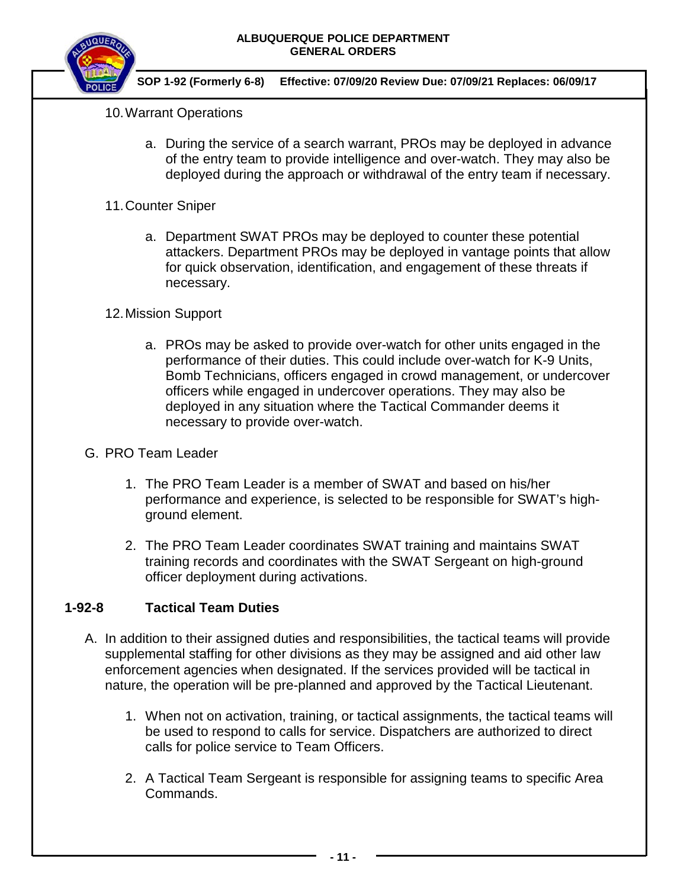

 **SOP 1-92 (Formerly 6-8) Effective: 07/09/20 Review Due: 07/09/21 Replaces: 06/09/17**

## 10.Warrant Operations

- a. During the service of a search warrant, PROs may be deployed in advance of the entry team to provide intelligence and over-watch. They may also be deployed during the approach or withdrawal of the entry team if necessary.
- 11.Counter Sniper
	- a. Department SWAT PROs may be deployed to counter these potential attackers. Department PROs may be deployed in vantage points that allow for quick observation, identification, and engagement of these threats if necessary.

## 12.Mission Support

a. PROs may be asked to provide over-watch for other units engaged in the performance of their duties. This could include over-watch for K-9 Units, Bomb Technicians, officers engaged in crowd management, or undercover officers while engaged in undercover operations. They may also be deployed in any situation where the Tactical Commander deems it necessary to provide over-watch.

## G. PRO Team Leader

- 1. The PRO Team Leader is a member of SWAT and based on his/her performance and experience, is selected to be responsible for SWAT's highground element.
- 2. The PRO Team Leader coordinates SWAT training and maintains SWAT training records and coordinates with the SWAT Sergeant on high-ground officer deployment during activations.

## **1-92-8 Tactical Team Duties**

- A. In addition to their assigned duties and responsibilities, the tactical teams will provide supplemental staffing for other divisions as they may be assigned and aid other law enforcement agencies when designated. If the services provided will be tactical in nature, the operation will be pre-planned and approved by the Tactical Lieutenant.
	- 1. When not on activation, training, or tactical assignments, the tactical teams will be used to respond to calls for service. Dispatchers are authorized to direct calls for police service to Team Officers.
	- 2. A Tactical Team Sergeant is responsible for assigning teams to specific Area Commands.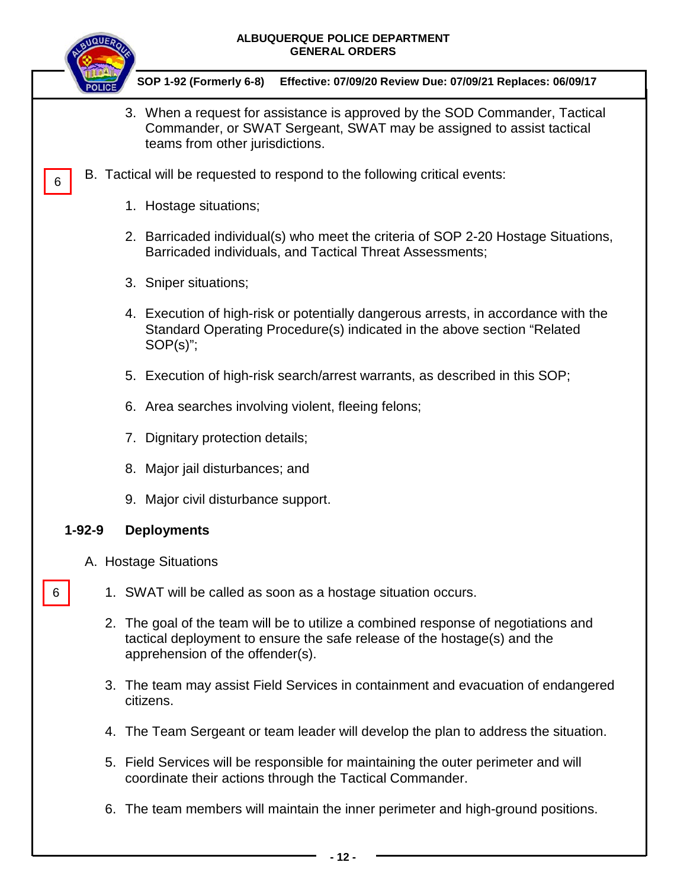

6

 **SOP 1-92 (Formerly 6-8) Effective: 07/09/20 Review Due: 07/09/21 Replaces: 06/09/17**

- 3. When a request for assistance is approved by the SOD Commander, Tactical Commander, or SWAT Sergeant, SWAT may be assigned to assist tactical teams from other jurisdictions.
- B. Tactical will be requested to respond to the following critical events:
	- 1. Hostage situations;
	- 2. Barricaded individual(s) who meet the criteria of SOP 2-20 Hostage Situations, Barricaded individuals, and Tactical Threat Assessments;
	- 3. Sniper situations;
	- 4. Execution of high-risk or potentially dangerous arrests, in accordance with the Standard Operating Procedure(s) indicated in the above section "Related SOP(s)";
	- 5. Execution of high-risk search/arrest warrants, as described in this SOP;
	- 6. Area searches involving violent, fleeing felons;
	- 7. Dignitary protection details;
	- 8. Major jail disturbances; and
	- 9. Major civil disturbance support.

## **1-92-9 Deployments**

- A. Hostage Situations
- 6
	- 1. SWAT will be called as soon as a hostage situation occurs.
	- 2. The goal of the team will be to utilize a combined response of negotiations and tactical deployment to ensure the safe release of the hostage(s) and the apprehension of the offender(s).
	- 3. The team may assist Field Services in containment and evacuation of endangered citizens.
	- 4. The Team Sergeant or team leader will develop the plan to address the situation.
	- 5. Field Services will be responsible for maintaining the outer perimeter and will coordinate their actions through the Tactical Commander.
	- 6. The team members will maintain the inner perimeter and high-ground positions.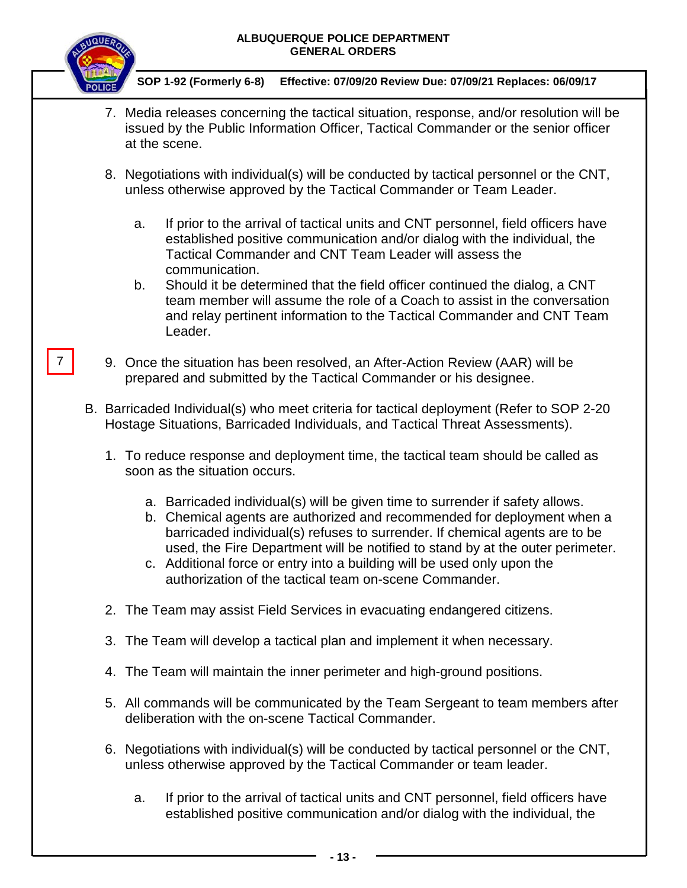

7

- 7. Media releases concerning the tactical situation, response, and/or resolution will be issued by the Public Information Officer, Tactical Commander or the senior officer at the scene.
- 8. Negotiations with individual(s) will be conducted by tactical personnel or the CNT, unless otherwise approved by the Tactical Commander or Team Leader.
	- a. If prior to the arrival of tactical units and CNT personnel, field officers have established positive communication and/or dialog with the individual, the Tactical Commander and CNT Team Leader will assess the communication.
	- b. Should it be determined that the field officer continued the dialog, a CNT team member will assume the role of a Coach to assist in the conversation and relay pertinent information to the Tactical Commander and CNT Team Leader.
- 9. Once the situation has been resolved, an After-Action Review (AAR) will be prepared and submitted by the Tactical Commander or his designee.
- B. Barricaded Individual(s) who meet criteria for tactical deployment (Refer to SOP 2-20 Hostage Situations, Barricaded Individuals, and Tactical Threat Assessments).
	- 1. To reduce response and deployment time, the tactical team should be called as soon as the situation occurs.
		- a. Barricaded individual(s) will be given time to surrender if safety allows.
		- b. Chemical agents are authorized and recommended for deployment when a barricaded individual(s) refuses to surrender. If chemical agents are to be used, the Fire Department will be notified to stand by at the outer perimeter.
		- c. Additional force or entry into a building will be used only upon the authorization of the tactical team on-scene Commander.
	- 2. The Team may assist Field Services in evacuating endangered citizens.
	- 3. The Team will develop a tactical plan and implement it when necessary.
	- 4. The Team will maintain the inner perimeter and high-ground positions.
	- 5. All commands will be communicated by the Team Sergeant to team members after deliberation with the on-scene Tactical Commander.
	- 6. Negotiations with individual(s) will be conducted by tactical personnel or the CNT, unless otherwise approved by the Tactical Commander or team leader.
		- a. If prior to the arrival of tactical units and CNT personnel, field officers have established positive communication and/or dialog with the individual, the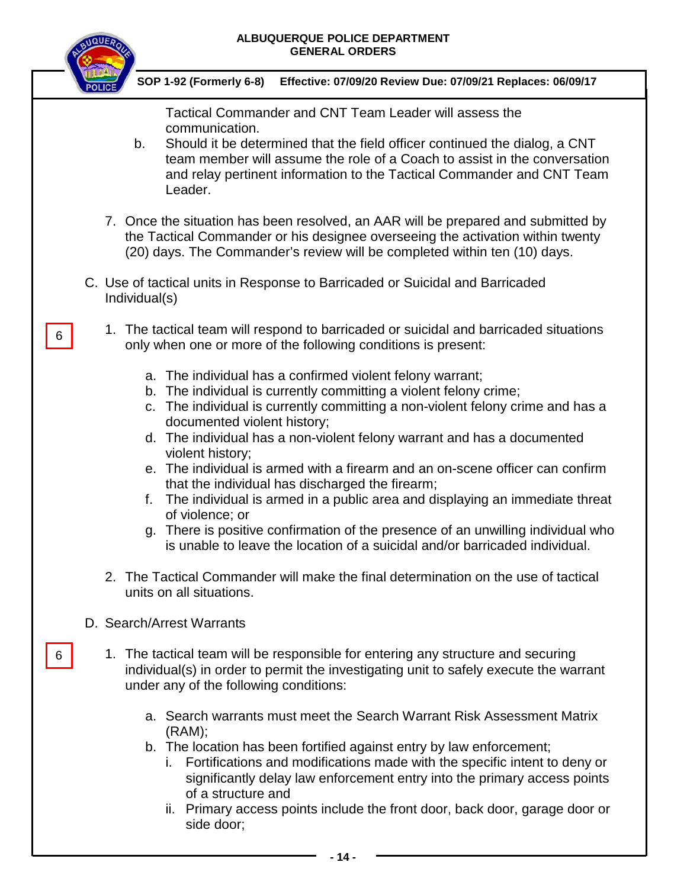

6

6

 **SOP 1-92 (Formerly 6-8) Effective: 07/09/20 Review Due: 07/09/21 Replaces: 06/09/17**

Tactical Commander and CNT Team Leader will assess the communication.

- b. Should it be determined that the field officer continued the dialog, a CNT team member will assume the role of a Coach to assist in the conversation and relay pertinent information to the Tactical Commander and CNT Team Leader.
- 7. Once the situation has been resolved, an AAR will be prepared and submitted by the Tactical Commander or his designee overseeing the activation within twenty (20) days. The Commander's review will be completed within ten (10) days.
- C. Use of tactical units in Response to Barricaded or Suicidal and Barricaded Individual(s)
	- 1. The tactical team will respond to barricaded or suicidal and barricaded situations only when one or more of the following conditions is present:
		- a. The individual has a confirmed violent felony warrant;
		- b. The individual is currently committing a violent felony crime;
		- c. The individual is currently committing a non-violent felony crime and has a documented violent history;
		- d. The individual has a non-violent felony warrant and has a documented violent history;
		- e. The individual is armed with a firearm and an on-scene officer can confirm that the individual has discharged the firearm;
		- f. The individual is armed in a public area and displaying an immediate threat of violence; or
		- g. There is positive confirmation of the presence of an unwilling individual who is unable to leave the location of a suicidal and/or barricaded individual.
	- 2. The Tactical Commander will make the final determination on the use of tactical units on all situations.

# D. Search/Arrest Warrants

- 1. The tactical team will be responsible for entering any structure and securing individual(s) in order to permit the investigating unit to safely execute the warrant under any of the following conditions:
	- a. Search warrants must meet the Search Warrant Risk Assessment Matrix (RAM);
	- b. The location has been fortified against entry by law enforcement;
		- i. Fortifications and modifications made with the specific intent to deny or significantly delay law enforcement entry into the primary access points of a structure and
		- ii. Primary access points include the front door, back door, garage door or side door;
			- **- 14 -**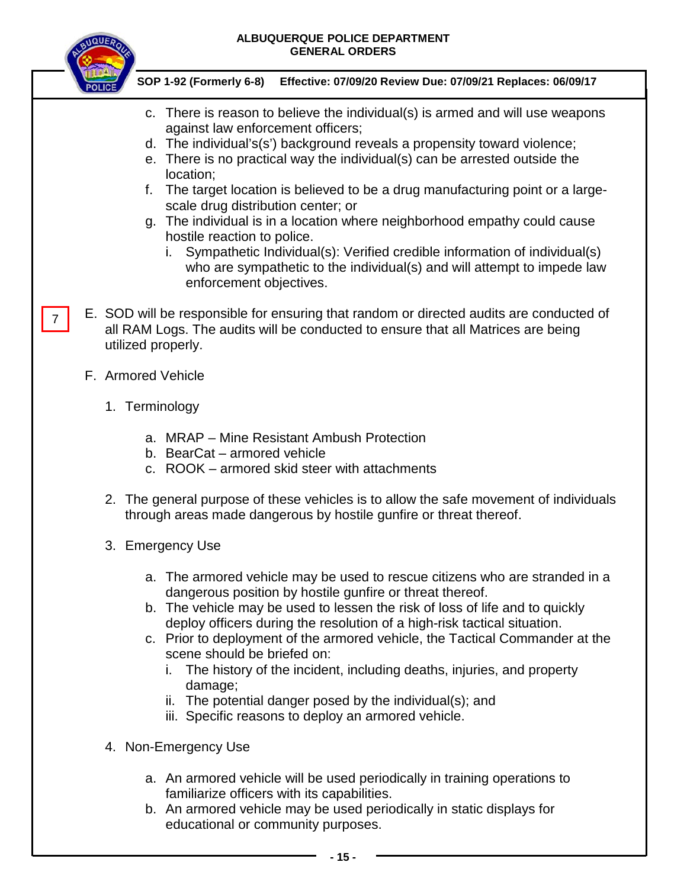

- c. There is reason to believe the individual(s) is armed and will use weapons against law enforcement officers;
- d. The individual's(s') background reveals a propensity toward violence;
- e. There is no practical way the individual(s) can be arrested outside the location;
- f. The target location is believed to be a drug manufacturing point or a largescale drug distribution center; or
- g. The individual is in a location where neighborhood empathy could cause hostile reaction to police.
	- i. Sympathetic Individual(s): Verified credible information of individual(s) who are sympathetic to the individual(s) and will attempt to impede law enforcement objectives.
- E. SOD will be responsible for ensuring that random or directed audits are conducted of all RAM Logs. The audits will be conducted to ensure that all Matrices are being utilized properly. 7
	- F. Armored Vehicle
		- 1. Terminology
			- a. MRAP Mine Resistant Ambush Protection
			- b. BearCat armored vehicle
			- c. ROOK armored skid steer with attachments
		- 2. The general purpose of these vehicles is to allow the safe movement of individuals through areas made dangerous by hostile gunfire or threat thereof.
		- 3. Emergency Use
			- a. The armored vehicle may be used to rescue citizens who are stranded in a dangerous position by hostile gunfire or threat thereof.
			- b. The vehicle may be used to lessen the risk of loss of life and to quickly deploy officers during the resolution of a high-risk tactical situation.
			- c. Prior to deployment of the armored vehicle, the Tactical Commander at the scene should be briefed on:
				- i. The history of the incident, including deaths, injuries, and property damage;
				- ii. The potential danger posed by the individual(s); and
				- iii. Specific reasons to deploy an armored vehicle.
		- 4. Non-Emergency Use
			- a. An armored vehicle will be used periodically in training operations to familiarize officers with its capabilities.
			- b. An armored vehicle may be used periodically in static displays for educational or community purposes.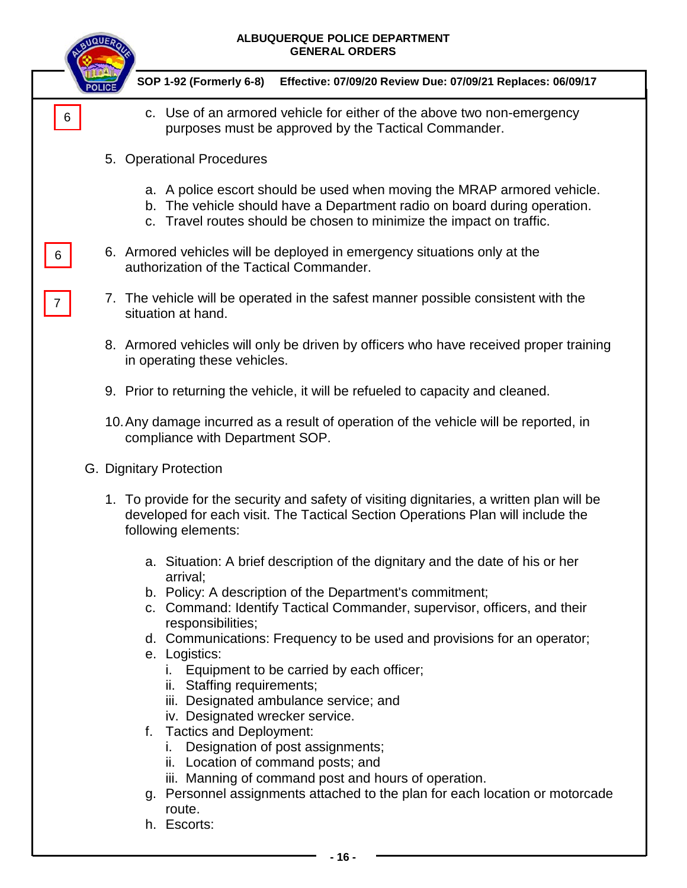|   | <b>ALBUQUERQUE POLICE DEPARTMENT</b><br><b>GENERAL ORDERS</b>                                                                                                                                                               |
|---|-----------------------------------------------------------------------------------------------------------------------------------------------------------------------------------------------------------------------------|
|   | SOP 1-92 (Formerly 6-8)<br>Effective: 07/09/20 Review Due: 07/09/21 Replaces: 06/09/17                                                                                                                                      |
| 6 | c. Use of an armored vehicle for either of the above two non-emergency<br>purposes must be approved by the Tactical Commander.                                                                                              |
|   | 5. Operational Procedures                                                                                                                                                                                                   |
|   | a. A police escort should be used when moving the MRAP armored vehicle.<br>b. The vehicle should have a Department radio on board during operation.<br>c. Travel routes should be chosen to minimize the impact on traffic. |
| 6 | 6. Armored vehicles will be deployed in emergency situations only at the<br>authorization of the Tactical Commander.                                                                                                        |
|   | 7. The vehicle will be operated in the safest manner possible consistent with the<br>situation at hand.                                                                                                                     |
|   | 8. Armored vehicles will only be driven by officers who have received proper training<br>in operating these vehicles.                                                                                                       |
|   | 9. Prior to returning the vehicle, it will be refueled to capacity and cleaned.                                                                                                                                             |
|   | 10. Any damage incurred as a result of operation of the vehicle will be reported, in<br>compliance with Department SOP.                                                                                                     |
|   | G. Dignitary Protection                                                                                                                                                                                                     |
|   | 1. To provide for the security and safety of visiting dignitaries, a written plan will be<br>developed for each visit. The Tactical Section Operations Plan will include the<br>following elements:                         |
|   | a. Situation: A brief description of the dignitary and the date of his or her<br>arrival;                                                                                                                                   |
|   | b. Policy: A description of the Department's commitment;<br>c. Command: Identify Tactical Commander, supervisor, officers, and their<br>responsibilities;                                                                   |
|   | d. Communications: Frequency to be used and provisions for an operator;<br>e. Logistics:                                                                                                                                    |
|   | i. Equipment to be carried by each officer;<br>ii. Staffing requirements;                                                                                                                                                   |
|   | iii. Designated ambulance service; and<br>iv. Designated wrecker service.                                                                                                                                                   |
|   | <b>Tactics and Deployment:</b><br>f.<br>i. Designation of post assignments;<br>ii. Location of command posts; and                                                                                                           |
|   | iii. Manning of command post and hours of operation.                                                                                                                                                                        |
|   | g. Personnel assignments attached to the plan for each location or motorcade<br>route.                                                                                                                                      |
|   | h. Escorts:                                                                                                                                                                                                                 |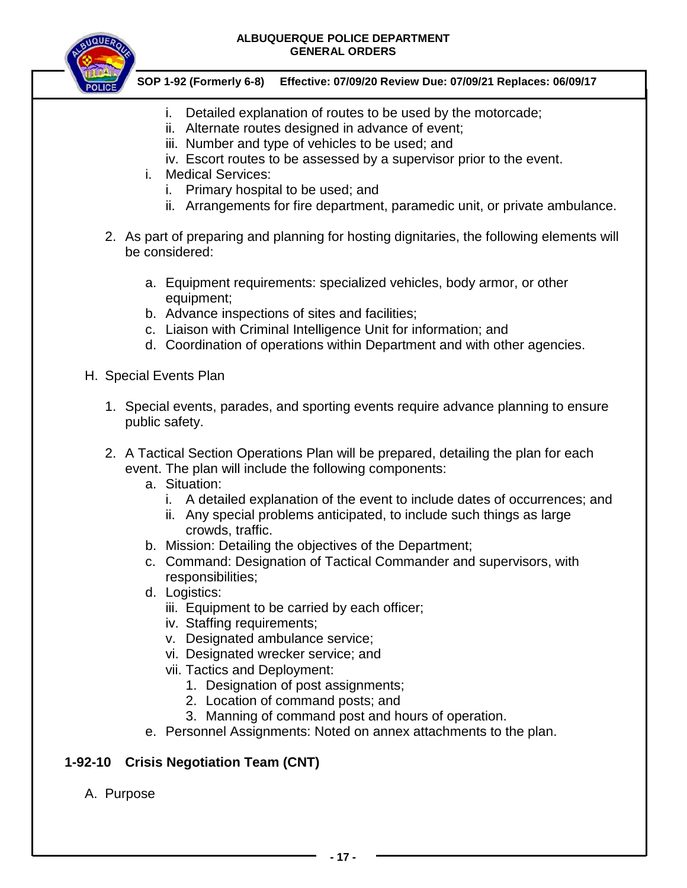

### **SOP 1-92 (Formerly 6-8) Effective: 07/09/20 Review Due: 07/09/21 Replaces: 06/09/17**

- i. Detailed explanation of routes to be used by the motorcade;
- ii. Alternate routes designed in advance of event;
- iii. Number and type of vehicles to be used; and
- iv. Escort routes to be assessed by a supervisor prior to the event.
- i. Medical Services:
	- i. Primary hospital to be used; and
	- ii. Arrangements for fire department, paramedic unit, or private ambulance.
- 2. As part of preparing and planning for hosting dignitaries, the following elements will be considered:
	- a. Equipment requirements: specialized vehicles, body armor, or other equipment;
	- b. Advance inspections of sites and facilities;
	- c. Liaison with Criminal Intelligence Unit for information; and
	- d. Coordination of operations within Department and with other agencies.
- H. Special Events Plan
	- 1. Special events, parades, and sporting events require advance planning to ensure public safety.
	- 2. A Tactical Section Operations Plan will be prepared, detailing the plan for each event. The plan will include the following components:
		- a. Situation:
			- i. A detailed explanation of the event to include dates of occurrences; and
			- ii. Any special problems anticipated, to include such things as large crowds, traffic.
		- b. Mission: Detailing the objectives of the Department;
		- c. Command: Designation of Tactical Commander and supervisors, with responsibilities;
		- d. Logistics:
			- iii. Equipment to be carried by each officer;
			- iv. Staffing requirements;
			- v. Designated ambulance service;
			- vi. Designated wrecker service; and
			- vii. Tactics and Deployment:
				- 1. Designation of post assignments;
				- 2. Location of command posts; and
				- 3. Manning of command post and hours of operation.
		- e. Personnel Assignments: Noted on annex attachments to the plan.

# **1-92-10 Crisis Negotiation Team (CNT)**

A. Purpose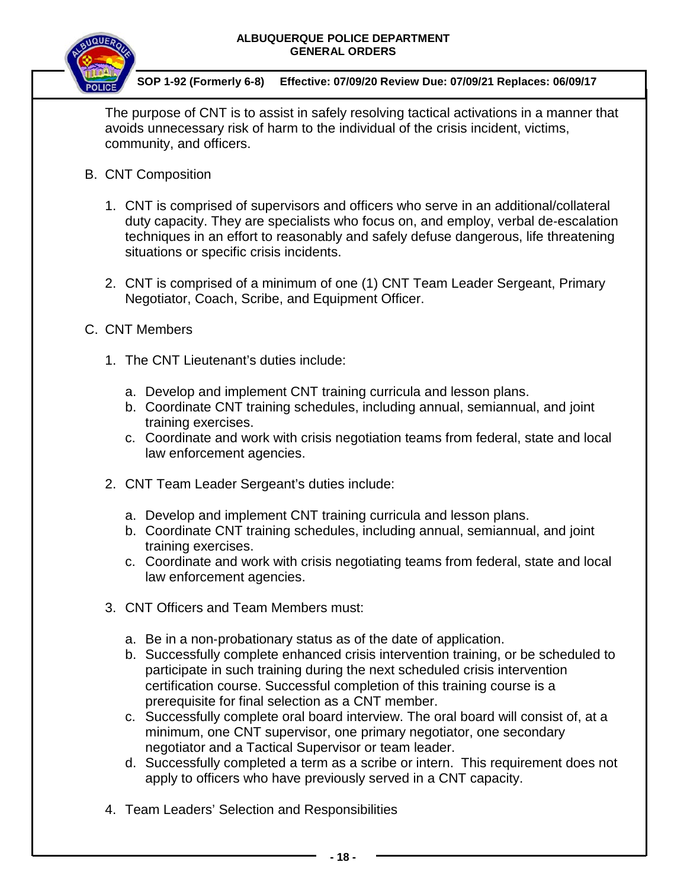

 **SOP 1-92 (Formerly 6-8) Effective: 07/09/20 Review Due: 07/09/21 Replaces: 06/09/17**

The purpose of CNT is to assist in safely resolving tactical activations in a manner that avoids unnecessary risk of harm to the individual of the crisis incident, victims, community, and officers.

- B. CNT Composition
	- 1. CNT is comprised of supervisors and officers who serve in an additional/collateral duty capacity. They are specialists who focus on, and employ, verbal de‐escalation techniques in an effort to reasonably and safely defuse dangerous, life threatening situations or specific crisis incidents.
	- 2. CNT is comprised of a minimum of one (1) CNT Team Leader Sergeant, Primary Negotiator, Coach, Scribe, and Equipment Officer.
- C. CNT Members
	- 1. The CNT Lieutenant's duties include:
		- a. Develop and implement CNT training curricula and lesson plans.
		- b. Coordinate CNT training schedules, including annual, semiannual, and joint training exercises.
		- c. Coordinate and work with crisis negotiation teams from federal, state and local law enforcement agencies.
	- 2. CNT Team Leader Sergeant's duties include:
		- a. Develop and implement CNT training curricula and lesson plans.
		- b. Coordinate CNT training schedules, including annual, semiannual, and joint training exercises.
		- c. Coordinate and work with crisis negotiating teams from federal, state and local law enforcement agencies.
	- 3. CNT Officers and Team Members must:
		- a. Be in a non‐probationary status as of the date of application.
		- b. Successfully complete enhanced crisis intervention training, or be scheduled to participate in such training during the next scheduled crisis intervention certification course. Successful completion of this training course is a prerequisite for final selection as a CNT member.
		- c. Successfully complete oral board interview. The oral board will consist of, at a minimum, one CNT supervisor, one primary negotiator, one secondary negotiator and a Tactical Supervisor or team leader.
		- d. Successfully completed a term as a scribe or intern. This requirement does not apply to officers who have previously served in a CNT capacity.
	- 4. Team Leaders' Selection and Responsibilities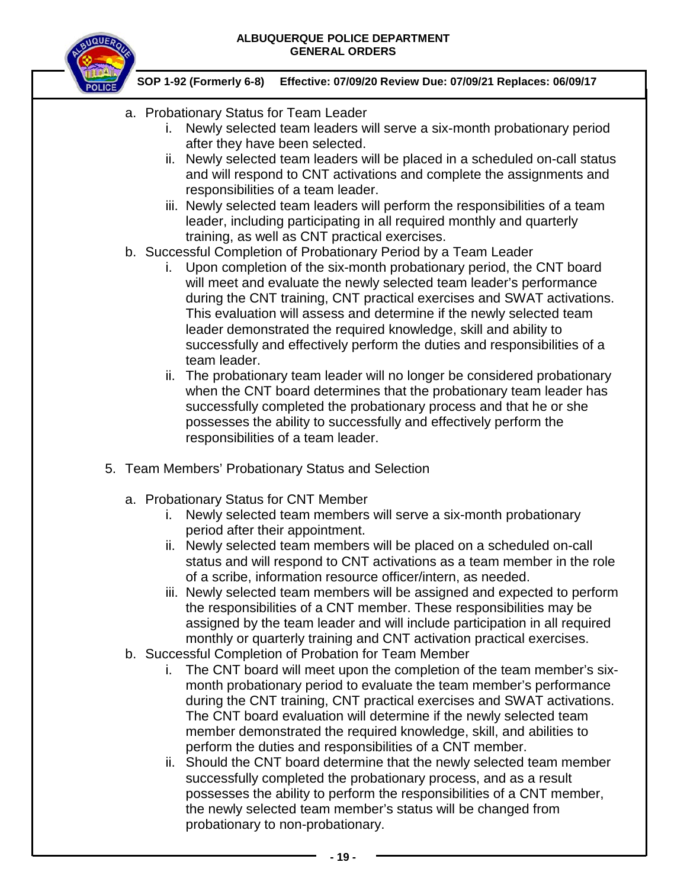

- a. Probationary Status for Team Leader
	- i. Newly selected team leaders will serve a six-month probationary period after they have been selected.
	- ii. Newly selected team leaders will be placed in a scheduled on-call status and will respond to CNT activations and complete the assignments and responsibilities of a team leader.
	- iii. Newly selected team leaders will perform the responsibilities of a team leader, including participating in all required monthly and quarterly training, as well as CNT practical exercises.
- b. Successful Completion of Probationary Period by a Team Leader
	- i. Upon completion of the six-month probationary period, the CNT board will meet and evaluate the newly selected team leader's performance during the CNT training, CNT practical exercises and SWAT activations. This evaluation will assess and determine if the newly selected team leader demonstrated the required knowledge, skill and ability to successfully and effectively perform the duties and responsibilities of a team leader.
	- ii. The probationary team leader will no longer be considered probationary when the CNT board determines that the probationary team leader has successfully completed the probationary process and that he or she possesses the ability to successfully and effectively perform the responsibilities of a team leader.
- 5. Team Members' Probationary Status and Selection
	- a. Probationary Status for CNT Member
		- i. Newly selected team members will serve a six-month probationary period after their appointment.
		- ii. Newly selected team members will be placed on a scheduled on-call status and will respond to CNT activations as a team member in the role of a scribe, information resource officer/intern, as needed.
		- iii. Newly selected team members will be assigned and expected to perform the responsibilities of a CNT member. These responsibilities may be assigned by the team leader and will include participation in all required monthly or quarterly training and CNT activation practical exercises.
	- b. Successful Completion of Probation for Team Member
		- i. The CNT board will meet upon the completion of the team member's sixmonth probationary period to evaluate the team member's performance during the CNT training, CNT practical exercises and SWAT activations. The CNT board evaluation will determine if the newly selected team member demonstrated the required knowledge, skill, and abilities to perform the duties and responsibilities of a CNT member.
		- ii. Should the CNT board determine that the newly selected team member successfully completed the probationary process, and as a result possesses the ability to perform the responsibilities of a CNT member, the newly selected team member's status will be changed from probationary to non-probationary.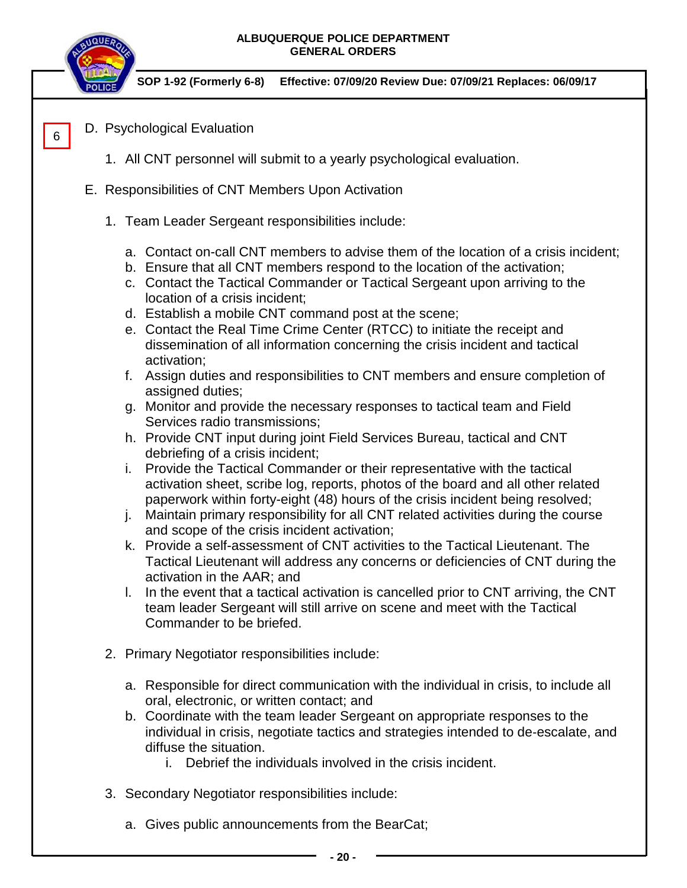

6

- D. Psychological Evaluation
	- 1. All CNT personnel will submit to a yearly psychological evaluation.
- E. Responsibilities of CNT Members Upon Activation
	- 1. Team Leader Sergeant responsibilities include:
		- a. Contact on-call CNT members to advise them of the location of a crisis incident;
		- b. Ensure that all CNT members respond to the location of the activation;
		- c. Contact the Tactical Commander or Tactical Sergeant upon arriving to the location of a crisis incident;
		- d. Establish a mobile CNT command post at the scene;
		- e. Contact the Real Time Crime Center (RTCC) to initiate the receipt and dissemination of all information concerning the crisis incident and tactical activation;
		- f. Assign duties and responsibilities to CNT members and ensure completion of assigned duties;
		- g. Monitor and provide the necessary responses to tactical team and Field Services radio transmissions;
		- h. Provide CNT input during joint Field Services Bureau, tactical and CNT debriefing of a crisis incident;
		- i. Provide the Tactical Commander or their representative with the tactical activation sheet, scribe log, reports, photos of the board and all other related paperwork within forty-eight (48) hours of the crisis incident being resolved;
		- j. Maintain primary responsibility for all CNT related activities during the course and scope of the crisis incident activation;
		- k. Provide a self-assessment of CNT activities to the Tactical Lieutenant. The Tactical Lieutenant will address any concerns or deficiencies of CNT during the activation in the AAR; and
		- l. In the event that a tactical activation is cancelled prior to CNT arriving, the CNT team leader Sergeant will still arrive on scene and meet with the Tactical Commander to be briefed.
	- 2. Primary Negotiator responsibilities include:
		- a. Responsible for direct communication with the individual in crisis, to include all oral, electronic, or written contact; and
		- b. Coordinate with the team leader Sergeant on appropriate responses to the individual in crisis, negotiate tactics and strategies intended to de‐escalate, and diffuse the situation.
			- i. Debrief the individuals involved in the crisis incident.
	- 3. Secondary Negotiator responsibilities include:
		- a. Gives public announcements from the BearCat;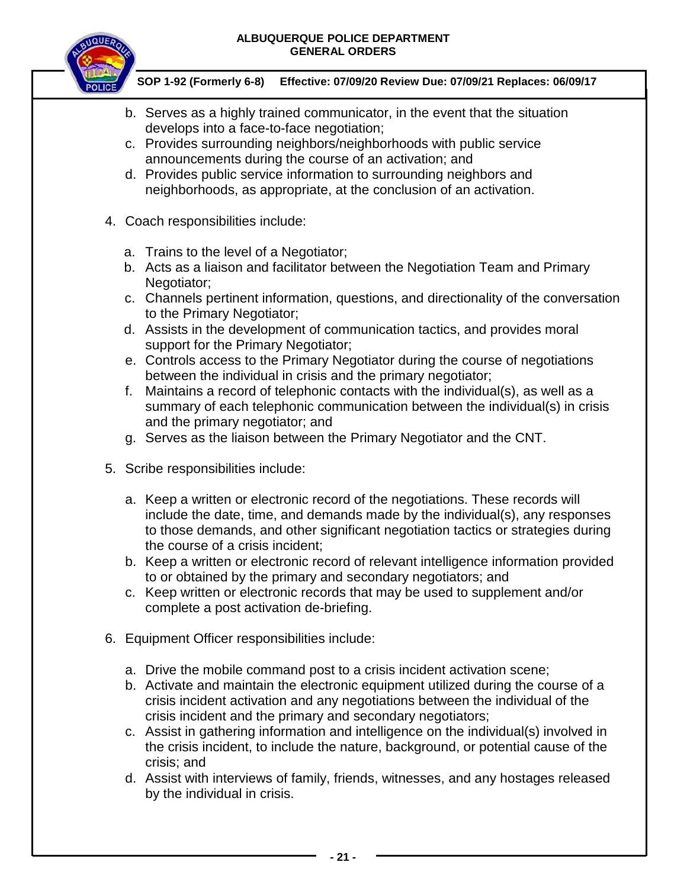

- b. Serves as a highly trained communicator, in the event that the situation develops into a face-to-face negotiation;
- c. Provides surrounding neighbors/neighborhoods with public service announcements during the course of an activation; and
- d. Provides public service information to surrounding neighbors and neighborhoods, as appropriate, at the conclusion of an activation.
- 4. Coach responsibilities include:
	- a. Trains to the level of a Negotiator;
	- b. Acts as a liaison and facilitator between the Negotiation Team and Primary Negotiator;
	- c. Channels pertinent information, questions, and directionality of the conversation to the Primary Negotiator;
	- d. Assists in the development of communication tactics, and provides moral support for the Primary Negotiator;
	- e. Controls access to the Primary Negotiator during the course of negotiations between the individual in crisis and the primary negotiator;
	- f. Maintains a record of telephonic contacts with the individual(s), as well as a summary of each telephonic communication between the individual(s) in crisis and the primary negotiator; and
	- g. Serves as the liaison between the Primary Negotiator and the CNT.
- 5. Scribe responsibilities include:
	- a. Keep a written or electronic record of the negotiations. These records will include the date, time, and demands made by the individual(s), any responses to those demands, and other significant negotiation tactics or strategies during the course of a crisis incident;
	- b. Keep a written or electronic record of relevant intelligence information provided to or obtained by the primary and secondary negotiators; and
	- c. Keep written or electronic records that may be used to supplement and/or complete a post activation de-briefing.
- 6. Equipment Officer responsibilities include:
	- a. Drive the mobile command post to a crisis incident activation scene;
	- b. Activate and maintain the electronic equipment utilized during the course of a crisis incident activation and any negotiations between the individual of the crisis incident and the primary and secondary negotiators;
	- c. Assist in gathering information and intelligence on the individual(s) involved in the crisis incident, to include the nature, background, or potential cause of the crisis; and
	- d. Assist with interviews of family, friends, witnesses, and any hostages released by the individual in crisis.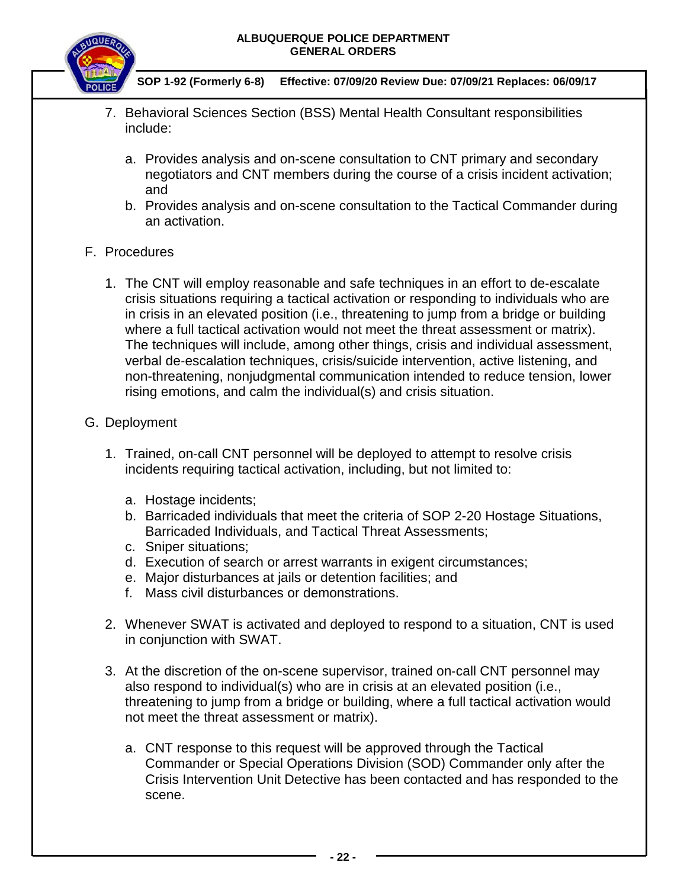

 **SOP 1-92 (Formerly 6-8) Effective: 07/09/20 Review Due: 07/09/21 Replaces: 06/09/17**

- 7. Behavioral Sciences Section (BSS) Mental Health Consultant responsibilities include:
	- a. Provides analysis and on-scene consultation to CNT primary and secondary negotiators and CNT members during the course of a crisis incident activation; and
	- b. Provides analysis and on-scene consultation to the Tactical Commander during an activation.

## F. Procedures

1. The CNT will employ reasonable and safe techniques in an effort to de‐escalate crisis situations requiring a tactical activation or responding to individuals who are in crisis in an elevated position (i.e., threatening to jump from a bridge or building where a full tactical activation would not meet the threat assessment or matrix). The techniques will include, among other things, crisis and individual assessment, verbal de‐escalation techniques, crisis/suicide intervention, active listening, and non-threatening, nonjudgmental communication intended to reduce tension, lower rising emotions, and calm the individual(s) and crisis situation.

## G. Deployment

- 1. Trained, on‐call CNT personnel will be deployed to attempt to resolve crisis incidents requiring tactical activation, including, but not limited to:
	- a. Hostage incidents;
	- b. Barricaded individuals that meet the criteria of SOP 2-20 Hostage Situations, Barricaded Individuals, and Tactical Threat Assessments;
	- c. Sniper situations;
	- d. Execution of search or arrest warrants in exigent circumstances;
	- e. Major disturbances at jails or detention facilities; and
	- f. Mass civil disturbances or demonstrations.
- 2. Whenever SWAT is activated and deployed to respond to a situation, CNT is used in conjunction with SWAT.
- 3. At the discretion of the on-scene supervisor, trained on‐call CNT personnel may also respond to individual(s) who are in crisis at an elevated position (i.e., threatening to jump from a bridge or building, where a full tactical activation would not meet the threat assessment or matrix).
	- a. CNT response to this request will be approved through the Tactical Commander or Special Operations Division (SOD) Commander only after the Crisis Intervention Unit Detective has been contacted and has responded to the scene.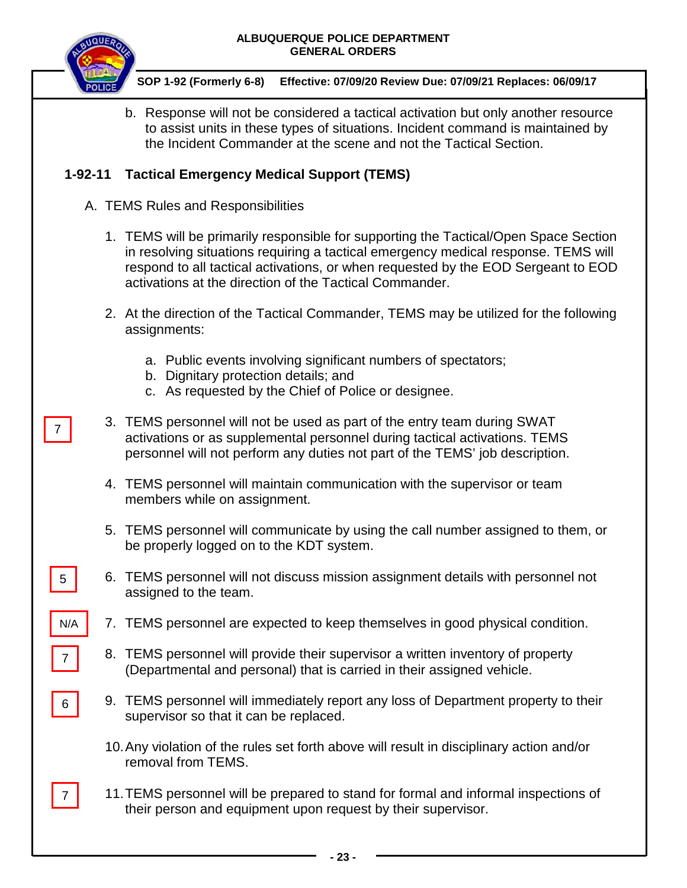

7

5

7

N/A

6

7

 **SOP 1-92 (Formerly 6-8) Effective: 07/09/20 Review Due: 07/09/21 Replaces: 06/09/17**

b. Response will not be considered a tactical activation but only another resource to assist units in these types of situations. Incident command is maintained by the Incident Commander at the scene and not the Tactical Section.

## **1-92-11 Tactical Emergency Medical Support (TEMS)**

- A. TEMS Rules and Responsibilities
	- 1. TEMS will be primarily responsible for supporting the Tactical/Open Space Section in resolving situations requiring a tactical emergency medical response. TEMS will respond to all tactical activations, or when requested by the EOD Sergeant to EOD activations at the direction of the Tactical Commander.
	- 2. At the direction of the Tactical Commander, TEMS may be utilized for the following assignments:
		- a. Public events involving significant numbers of spectators;
		- b. Dignitary protection details; and
		- c. As requested by the Chief of Police or designee.
	- 3. TEMS personnel will not be used as part of the entry team during SWAT activations or as supplemental personnel during tactical activations. TEMS personnel will not perform any duties not part of the TEMS' job description.
	- 4. TEMS personnel will maintain communication with the supervisor or team members while on assignment.
	- 5. TEMS personnel will communicate by using the call number assigned to them, or be properly logged on to the KDT system.
	- 6. TEMS personnel will not discuss mission assignment details with personnel not assigned to the team.
	- 7. TEMS personnel are expected to keep themselves in good physical condition.
	- 8. TEMS personnel will provide their supervisor a written inventory of property (Departmental and personal) that is carried in their assigned vehicle.
	- 9. TEMS personnel will immediately report any loss of Department property to their supervisor so that it can be replaced.
	- 10.Any violation of the rules set forth above will result in disciplinary action and/or removal from TEMS.
	- 11.TEMS personnel will be prepared to stand for formal and informal inspections of their person and equipment upon request by their supervisor.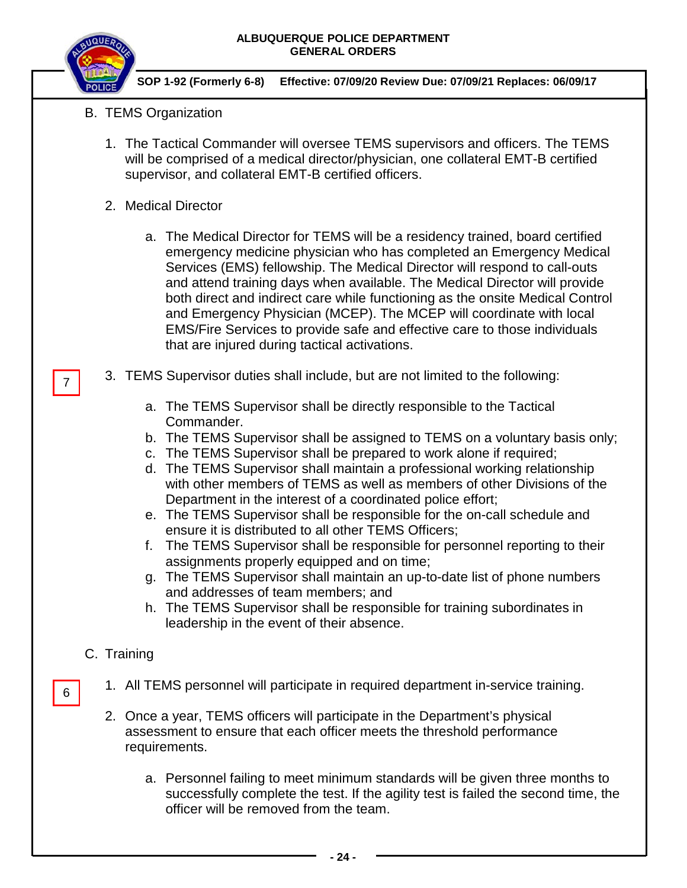

 **SOP 1-92 (Formerly 6-8) Effective: 07/09/20 Review Due: 07/09/21 Replaces: 06/09/17**

- B. TEMS Organization
	- 1. The Tactical Commander will oversee TEMS supervisors and officers. The TEMS will be comprised of a medical director/physician, one collateral EMT-B certified supervisor, and collateral EMT-B certified officers.
	- 2. Medical Director
		- a. The Medical Director for TEMS will be a residency trained, board certified emergency medicine physician who has completed an Emergency Medical Services (EMS) fellowship. The Medical Director will respond to call-outs and attend training days when available. The Medical Director will provide both direct and indirect care while functioning as the onsite Medical Control and Emergency Physician (MCEP). The MCEP will coordinate with local EMS/Fire Services to provide safe and effective care to those individuals that are injured during tactical activations.
	- 3. TEMS Supervisor duties shall include, but are not limited to the following:
		- a. The TEMS Supervisor shall be directly responsible to the Tactical Commander.
		- b. The TEMS Supervisor shall be assigned to TEMS on a voluntary basis only;
		- c. The TEMS Supervisor shall be prepared to work alone if required;
		- d. The TEMS Supervisor shall maintain a professional working relationship with other members of TEMS as well as members of other Divisions of the Department in the interest of a coordinated police effort;
		- e. The TEMS Supervisor shall be responsible for the on-call schedule and ensure it is distributed to all other TEMS Officers;
		- f. The TEMS Supervisor shall be responsible for personnel reporting to their assignments properly equipped and on time;
		- g. The TEMS Supervisor shall maintain an up-to-date list of phone numbers and addresses of team members; and
		- h. The TEMS Supervisor shall be responsible for training subordinates in leadership in the event of their absence.

# C. Training

- 1. All TEMS personnel will participate in required department in-service training.
- 2. Once a year, TEMS officers will participate in the Department's physical assessment to ensure that each officer meets the threshold performance requirements.
	- a. Personnel failing to meet minimum standards will be given three months to successfully complete the test. If the agility test is failed the second time, the officer will be removed from the team.
		- **- 24 -**

6

7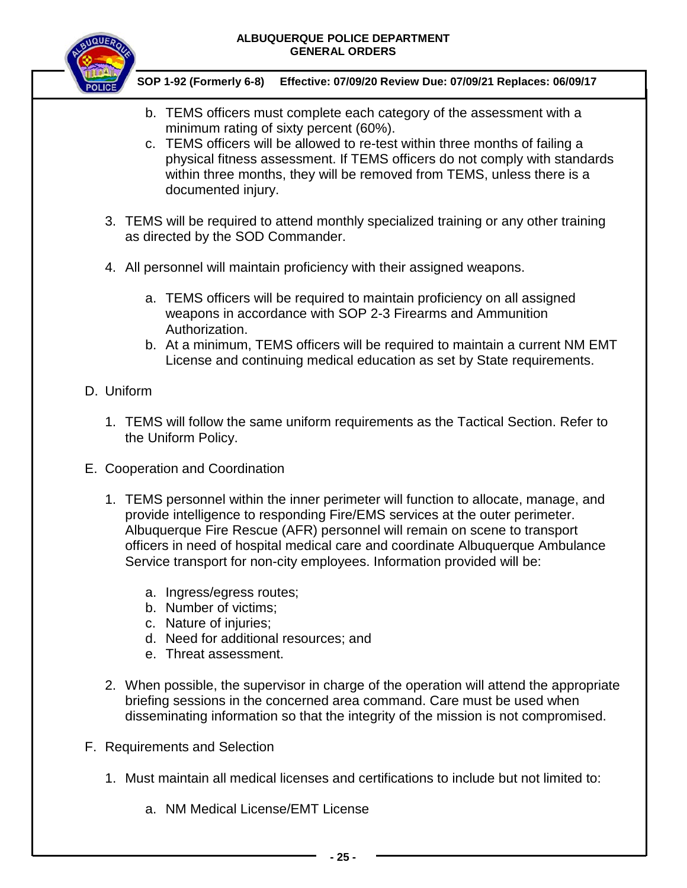

 **SOP 1-92 (Formerly 6-8) Effective: 07/09/20 Review Due: 07/09/21 Replaces: 06/09/17**

- b. TEMS officers must complete each category of the assessment with a minimum rating of sixty percent (60%).
- c. TEMS officers will be allowed to re-test within three months of failing a physical fitness assessment. If TEMS officers do not comply with standards within three months, they will be removed from TEMS, unless there is a documented injury.
- 3. TEMS will be required to attend monthly specialized training or any other training as directed by the SOD Commander.
- 4. All personnel will maintain proficiency with their assigned weapons.
	- a. TEMS officers will be required to maintain proficiency on all assigned weapons in accordance with SOP 2-3 Firearms and Ammunition Authorization.
	- b. At a minimum, TEMS officers will be required to maintain a current NM EMT License and continuing medical education as set by State requirements.

# D. Uniform

- 1. TEMS will follow the same uniform requirements as the Tactical Section. Refer to the Uniform Policy.
- E. Cooperation and Coordination
	- 1. TEMS personnel within the inner perimeter will function to allocate, manage, and provide intelligence to responding Fire/EMS services at the outer perimeter. Albuquerque Fire Rescue (AFR) personnel will remain on scene to transport officers in need of hospital medical care and coordinate Albuquerque Ambulance Service transport for non-city employees. Information provided will be:
		- a. Ingress/egress routes;
		- b. Number of victims;
		- c. Nature of injuries;
		- d. Need for additional resources; and
		- e. Threat assessment.
	- 2. When possible, the supervisor in charge of the operation will attend the appropriate briefing sessions in the concerned area command. Care must be used when disseminating information so that the integrity of the mission is not compromised.
- F. Requirements and Selection
	- 1. Must maintain all medical licenses and certifications to include but not limited to:
		- a. NM Medical License/EMT License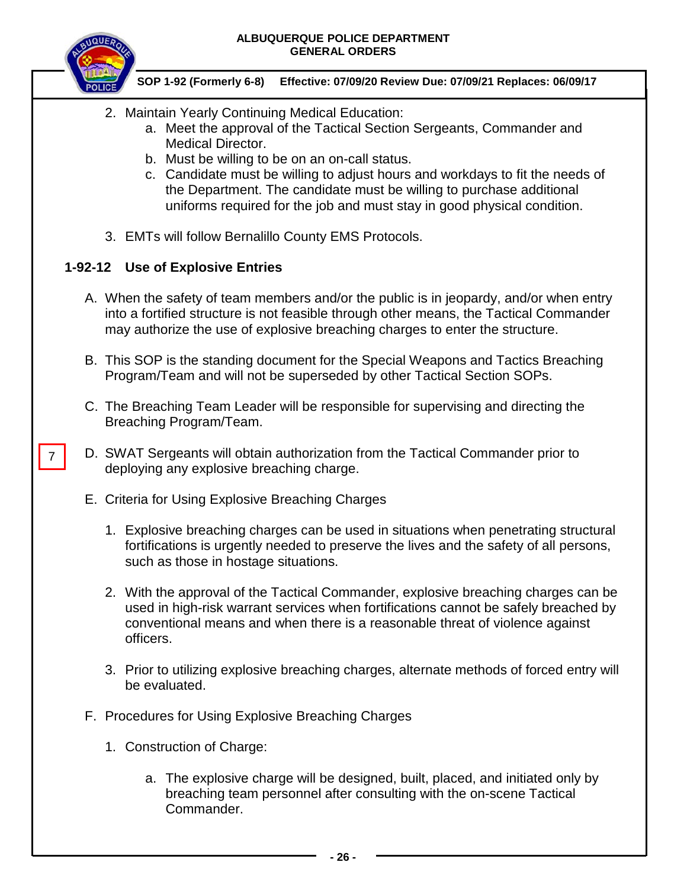

7

### **SOP 1-92 (Formerly 6-8) Effective: 07/09/20 Review Due: 07/09/21 Replaces: 06/09/17**

- 2. Maintain Yearly Continuing Medical Education:
	- a. Meet the approval of the Tactical Section Sergeants, Commander and Medical Director.
	- b. Must be willing to be on an on-call status.
	- c. Candidate must be willing to adjust hours and workdays to fit the needs of the Department. The candidate must be willing to purchase additional uniforms required for the job and must stay in good physical condition.
- 3. EMTs will follow Bernalillo County EMS Protocols.

# **1-92-12 Use of Explosive Entries**

- A. When the safety of team members and/or the public is in jeopardy, and/or when entry into a fortified structure is not feasible through other means, the Tactical Commander may authorize the use of explosive breaching charges to enter the structure.
- B. This SOP is the standing document for the Special Weapons and Tactics Breaching Program/Team and will not be superseded by other Tactical Section SOPs.
- C. The Breaching Team Leader will be responsible for supervising and directing the Breaching Program/Team.
- D. SWAT Sergeants will obtain authorization from the Tactical Commander prior to deploying any explosive breaching charge.
- E. Criteria for Using Explosive Breaching Charges
	- 1. Explosive breaching charges can be used in situations when penetrating structural fortifications is urgently needed to preserve the lives and the safety of all persons, such as those in hostage situations.
	- 2. With the approval of the Tactical Commander, explosive breaching charges can be used in high-risk warrant services when fortifications cannot be safely breached by conventional means and when there is a reasonable threat of violence against officers.
	- 3. Prior to utilizing explosive breaching charges, alternate methods of forced entry will be evaluated.
- F. Procedures for Using Explosive Breaching Charges
	- 1. Construction of Charge:
		- a. The explosive charge will be designed, built, placed, and initiated only by breaching team personnel after consulting with the on-scene Tactical Commander.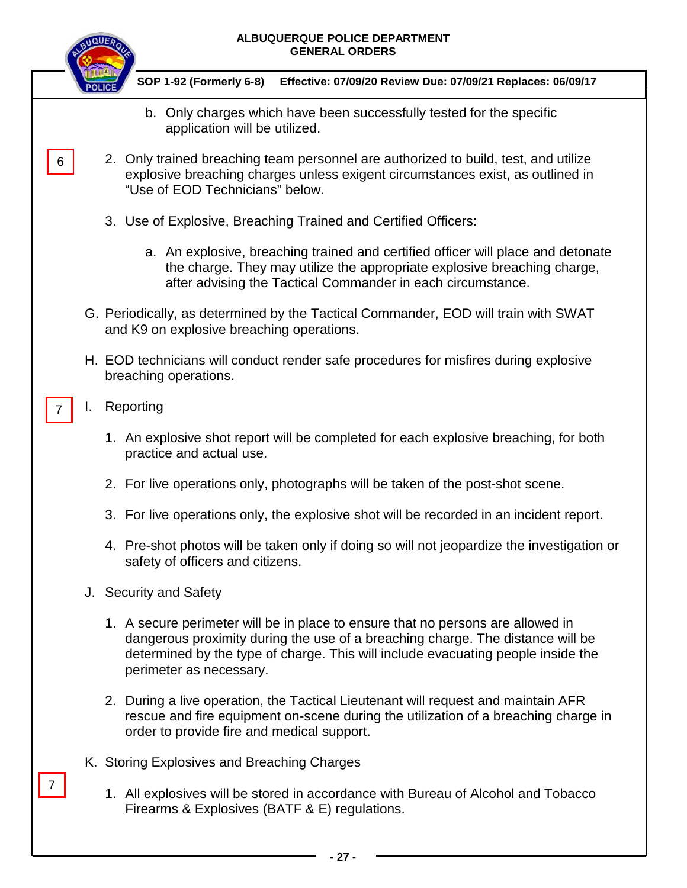|    | ALBUQUERQUE POLICE DEPARTMENT<br><b>GENERAL ORDERS</b>                                                                                                                                                                                                                           |
|----|----------------------------------------------------------------------------------------------------------------------------------------------------------------------------------------------------------------------------------------------------------------------------------|
|    | SOP 1-92 (Formerly 6-8)<br>Effective: 07/09/20 Review Due: 07/09/21 Replaces: 06/09/17                                                                                                                                                                                           |
|    | b. Only charges which have been successfully tested for the specific<br>application will be utilized.                                                                                                                                                                            |
| 6  | 2. Only trained breaching team personnel are authorized to build, test, and utilize<br>explosive breaching charges unless exigent circumstances exist, as outlined in<br>"Use of EOD Technicians" below.                                                                         |
|    | 3. Use of Explosive, Breaching Trained and Certified Officers:                                                                                                                                                                                                                   |
|    | a. An explosive, breaching trained and certified officer will place and detonate<br>the charge. They may utilize the appropriate explosive breaching charge,<br>after advising the Tactical Commander in each circumstance.                                                      |
|    | G. Periodically, as determined by the Tactical Commander, EOD will train with SWAT<br>and K9 on explosive breaching operations.                                                                                                                                                  |
|    | H. EOD technicians will conduct render safe procedures for misfires during explosive<br>breaching operations.                                                                                                                                                                    |
| ı. | Reporting                                                                                                                                                                                                                                                                        |
|    | 1. An explosive shot report will be completed for each explosive breaching, for both<br>practice and actual use.                                                                                                                                                                 |
|    | 2. For live operations only, photographs will be taken of the post-shot scene.                                                                                                                                                                                                   |
|    | 3. For live operations only, the explosive shot will be recorded in an incident report.                                                                                                                                                                                          |
|    | 4. Pre-shot photos will be taken only if doing so will not jeopardize the investigation or<br>safety of officers and citizens.                                                                                                                                                   |
|    | J. Security and Safety                                                                                                                                                                                                                                                           |
|    | 1. A secure perimeter will be in place to ensure that no persons are allowed in<br>dangerous proximity during the use of a breaching charge. The distance will be<br>determined by the type of charge. This will include evacuating people inside the<br>perimeter as necessary. |
|    | 2. During a live operation, the Tactical Lieutenant will request and maintain AFR<br>rescue and fire equipment on-scene during the utilization of a breaching charge in<br>order to provide fire and medical support.                                                            |
|    | K. Storing Explosives and Breaching Charges                                                                                                                                                                                                                                      |
|    | 1. All explosives will be stored in accordance with Bureau of Alcohol and Tobacco<br>Firearms & Explosives (BATF & E) regulations.                                                                                                                                               |
|    | - 27 -                                                                                                                                                                                                                                                                           |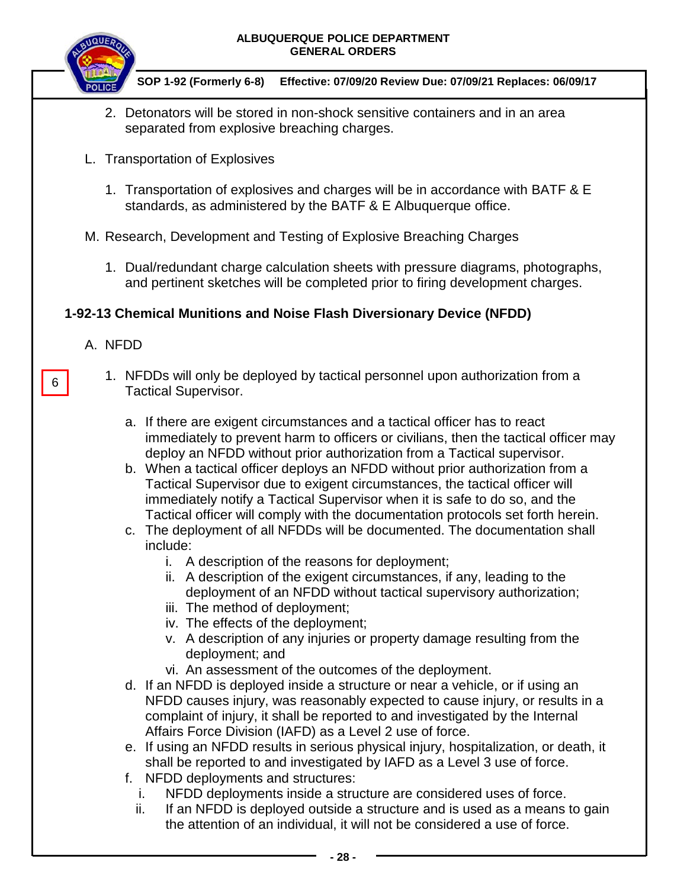

### **SOP 1-92 (Formerly 6-8) Effective: 07/09/20 Review Due: 07/09/21 Replaces: 06/09/17**

- 2. Detonators will be stored in non-shock sensitive containers and in an area separated from explosive breaching charges.
- L. Transportation of Explosives
	- 1. Transportation of explosives and charges will be in accordance with BATF & E standards, as administered by the BATF & E Albuquerque office.
- M. Research, Development and Testing of Explosive Breaching Charges
	- 1. Dual/redundant charge calculation sheets with pressure diagrams, photographs, and pertinent sketches will be completed prior to firing development charges.

## **1-92-13 Chemical Munitions and Noise Flash Diversionary Device (NFDD)**

A. NFDD

6

- 1. NFDDs will only be deployed by tactical personnel upon authorization from a Tactical Supervisor.
	- a. If there are exigent circumstances and a tactical officer has to react immediately to prevent harm to officers or civilians, then the tactical officer may deploy an NFDD without prior authorization from a Tactical supervisor.
	- b. When a tactical officer deploys an NFDD without prior authorization from a Tactical Supervisor due to exigent circumstances, the tactical officer will immediately notify a Tactical Supervisor when it is safe to do so, and the Tactical officer will comply with the documentation protocols set forth herein.
	- c. The deployment of all NFDDs will be documented. The documentation shall include:
		- i. A description of the reasons for deployment;
		- ii. A description of the exigent circumstances, if any, leading to the deployment of an NFDD without tactical supervisory authorization;
		- iii. The method of deployment;
		- iv. The effects of the deployment;
		- v. A description of any injuries or property damage resulting from the deployment; and
		- vi. An assessment of the outcomes of the deployment.
	- d. If an NFDD is deployed inside a structure or near a vehicle, or if using an NFDD causes injury, was reasonably expected to cause injury, or results in a complaint of injury, it shall be reported to and investigated by the Internal Affairs Force Division (IAFD) as a Level 2 use of force.
	- e. If using an NFDD results in serious physical injury, hospitalization, or death, it shall be reported to and investigated by IAFD as a Level 3 use of force.
	- f. NFDD deployments and structures:
		- i. NFDD deployments inside a structure are considered uses of force.
		- ii. If an NFDD is deployed outside a structure and is used as a means to gain the attention of an individual, it will not be considered a use of force.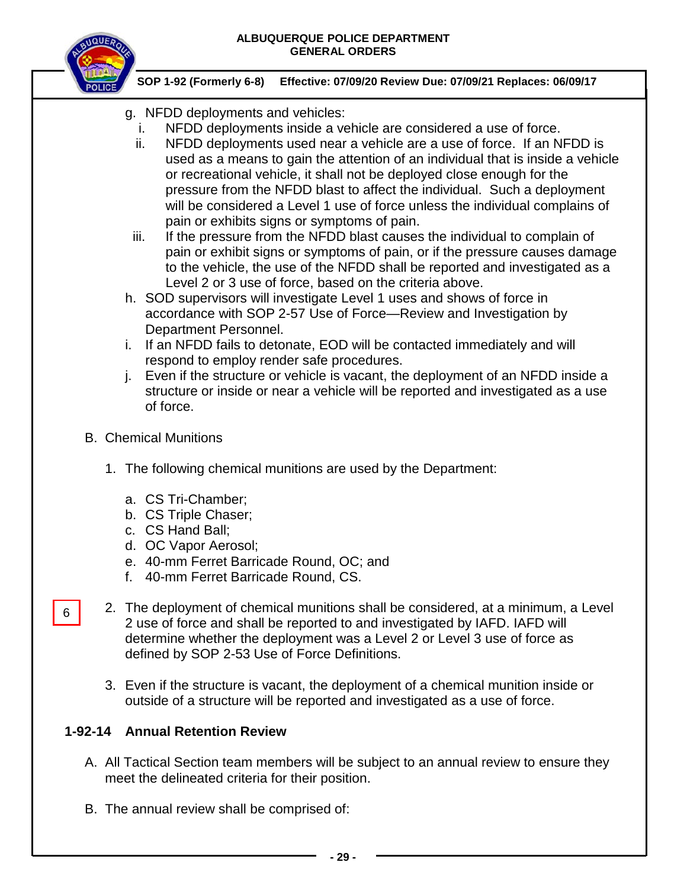

 **SOP 1-92 (Formerly 6-8) Effective: 07/09/20 Review Due: 07/09/21 Replaces: 06/09/17**

- g. NFDD deployments and vehicles:
	- i. NFDD deployments inside a vehicle are considered a use of force.
	- ii. NFDD deployments used near a vehicle are a use of force. If an NFDD is used as a means to gain the attention of an individual that is inside a vehicle or recreational vehicle, it shall not be deployed close enough for the pressure from the NFDD blast to affect the individual. Such a deployment will be considered a Level 1 use of force unless the individual complains of pain or exhibits signs or symptoms of pain.
	- iii. If the pressure from the NFDD blast causes the individual to complain of pain or exhibit signs or symptoms of pain, or if the pressure causes damage to the vehicle, the use of the NFDD shall be reported and investigated as a Level 2 or 3 use of force, based on the criteria above.
- h. SOD supervisors will investigate Level 1 uses and shows of force in accordance with SOP 2-57 Use of Force—Review and Investigation by Department Personnel.
- i. If an NFDD fails to detonate, EOD will be contacted immediately and will respond to employ render safe procedures.
- j. Even if the structure or vehicle is vacant, the deployment of an NFDD inside a structure or inside or near a vehicle will be reported and investigated as a use of force.
- B. Chemical Munitions

6

- 1. The following chemical munitions are used by the Department:
	- a. CS Tri-Chamber;
	- b. CS Triple Chaser;
	- c. CS Hand Ball;
	- d. OC Vapor Aerosol;
	- e. 40-mm Ferret Barricade Round, OC; and
	- f. 40-mm Ferret Barricade Round, CS.
- 2. The deployment of chemical munitions shall be considered, at a minimum, a Level 2 use of force and shall be reported to and investigated by IAFD. IAFD will determine whether the deployment was a Level 2 or Level 3 use of force as defined by SOP 2-53 Use of Force Definitions.
	- 3. Even if the structure is vacant, the deployment of a chemical munition inside or outside of a structure will be reported and investigated as a use of force.

# **1-92-14 Annual Retention Review**

- A. All Tactical Section team members will be subject to an annual review to ensure they meet the delineated criteria for their position.
- B. The annual review shall be comprised of: